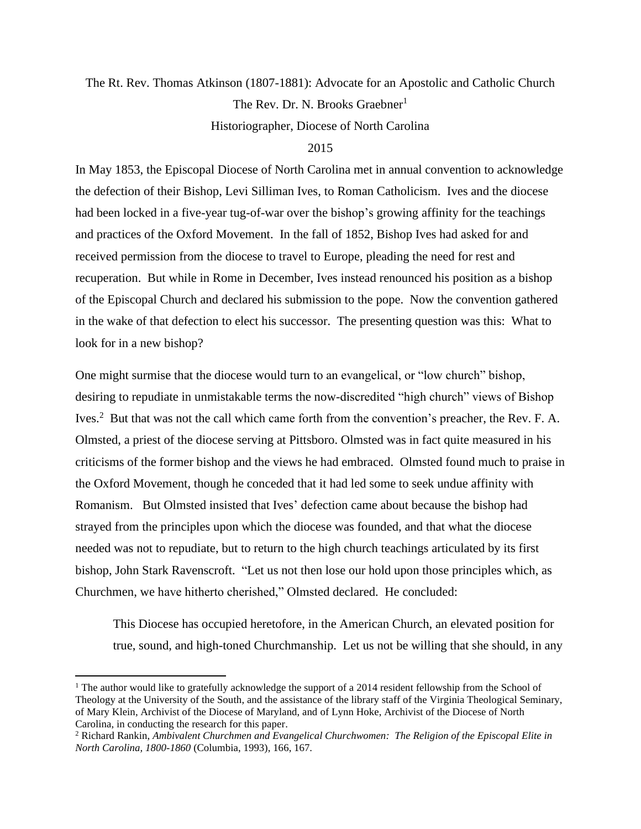## The Rt. Rev. Thomas Atkinson (1807-1881): Advocate for an Apostolic and Catholic Church The Rev. Dr. N. Brooks Graebner<sup>1</sup> Historiographer, Diocese of North Carolina

## 2015

In May 1853, the Episcopal Diocese of North Carolina met in annual convention to acknowledge the defection of their Bishop, Levi Silliman Ives, to Roman Catholicism. Ives and the diocese had been locked in a five-year tug-of-war over the bishop's growing affinity for the teachings and practices of the Oxford Movement. In the fall of 1852, Bishop Ives had asked for and received permission from the diocese to travel to Europe, pleading the need for rest and recuperation. But while in Rome in December, Ives instead renounced his position as a bishop of the Episcopal Church and declared his submission to the pope. Now the convention gathered in the wake of that defection to elect his successor. The presenting question was this: What to look for in a new bishop?

One might surmise that the diocese would turn to an evangelical, or "low church" bishop, desiring to repudiate in unmistakable terms the now-discredited "high church" views of Bishop Ives.<sup>2</sup> But that was not the call which came forth from the convention's preacher, the Rev. F. A. Olmsted, a priest of the diocese serving at Pittsboro. Olmsted was in fact quite measured in his criticisms of the former bishop and the views he had embraced. Olmsted found much to praise in the Oxford Movement, though he conceded that it had led some to seek undue affinity with Romanism. But Olmsted insisted that Ives' defection came about because the bishop had strayed from the principles upon which the diocese was founded, and that what the diocese needed was not to repudiate, but to return to the high church teachings articulated by its first bishop, John Stark Ravenscroft. "Let us not then lose our hold upon those principles which, as Churchmen, we have hitherto cherished," Olmsted declared. He concluded:

This Diocese has occupied heretofore, in the American Church, an elevated position for true, sound, and high-toned Churchmanship. Let us not be willing that she should, in any

<sup>&</sup>lt;sup>1</sup> The author would like to gratefully acknowledge the support of a 2014 resident fellowship from the School of Theology at the University of the South, and the assistance of the library staff of the Virginia Theological Seminary, of Mary Klein, Archivist of the Diocese of Maryland, and of Lynn Hoke, Archivist of the Diocese of North Carolina, in conducting the research for this paper.

<sup>2</sup> Richard Rankin, *Ambivalent Churchmen and Evangelical Churchwomen: The Religion of the Episcopal Elite in North Carolina, 1800-1860* (Columbia, 1993), 166, 167.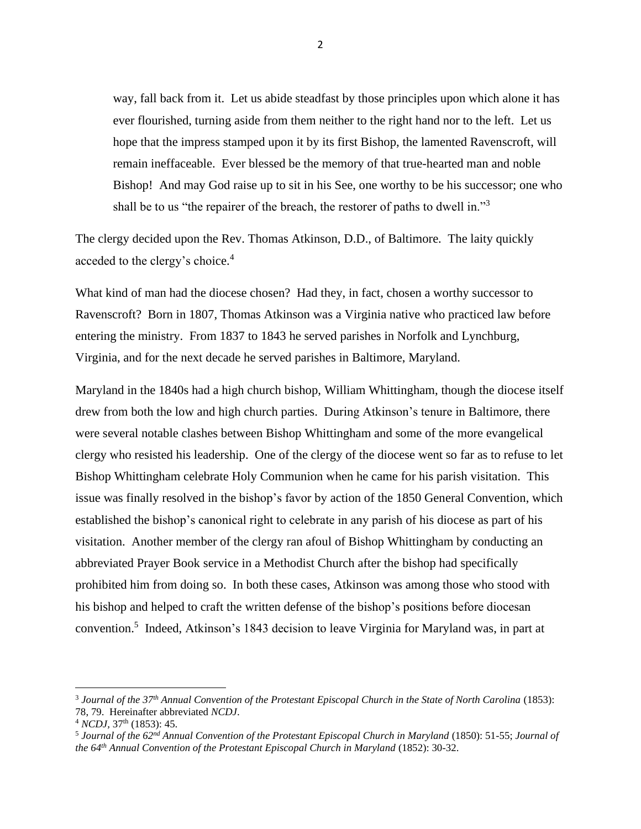way, fall back from it. Let us abide steadfast by those principles upon which alone it has ever flourished, turning aside from them neither to the right hand nor to the left. Let us hope that the impress stamped upon it by its first Bishop, the lamented Ravenscroft, will remain ineffaceable. Ever blessed be the memory of that true-hearted man and noble Bishop! And may God raise up to sit in his See, one worthy to be his successor; one who shall be to us "the repairer of the breach, the restorer of paths to dwell in."<sup>3</sup>

The clergy decided upon the Rev. Thomas Atkinson, D.D., of Baltimore. The laity quickly acceded to the clergy's choice.<sup>4</sup>

What kind of man had the diocese chosen? Had they, in fact, chosen a worthy successor to Ravenscroft? Born in 1807, Thomas Atkinson was a Virginia native who practiced law before entering the ministry. From 1837 to 1843 he served parishes in Norfolk and Lynchburg, Virginia, and for the next decade he served parishes in Baltimore, Maryland.

Maryland in the 1840s had a high church bishop, William Whittingham, though the diocese itself drew from both the low and high church parties. During Atkinson's tenure in Baltimore, there were several notable clashes between Bishop Whittingham and some of the more evangelical clergy who resisted his leadership. One of the clergy of the diocese went so far as to refuse to let Bishop Whittingham celebrate Holy Communion when he came for his parish visitation. This issue was finally resolved in the bishop's favor by action of the 1850 General Convention, which established the bishop's canonical right to celebrate in any parish of his diocese as part of his visitation. Another member of the clergy ran afoul of Bishop Whittingham by conducting an abbreviated Prayer Book service in a Methodist Church after the bishop had specifically prohibited him from doing so. In both these cases, Atkinson was among those who stood with his bishop and helped to craft the written defense of the bishop's positions before diocesan convention. 5 Indeed, Atkinson's 1843 decision to leave Virginia for Maryland was, in part at

<sup>&</sup>lt;sup>3</sup> Journal of the 37<sup>th</sup> Annual Convention of the Protestant Episcopal Church in the State of North Carolina (1853): 78, 79. Hereinafter abbreviated *NCDJ*.

<sup>4</sup> *NCDJ,* 37th (1853): 45*.*

<sup>5</sup> *Journal of the 62nd Annual Convention of the Protestant Episcopal Church in Maryland* (1850): 51-55; *Journal of the 64th Annual Convention of the Protestant Episcopal Church in Maryland* (1852): 30-32.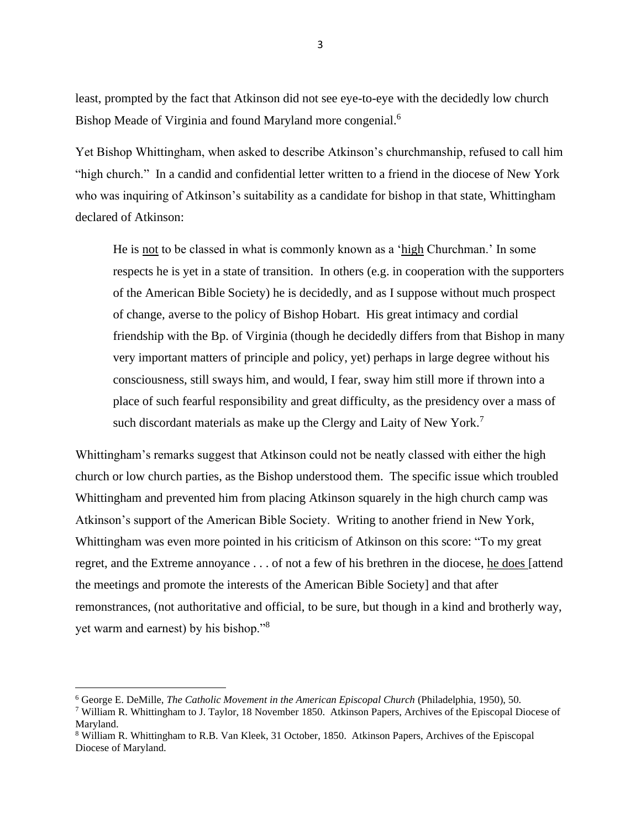least, prompted by the fact that Atkinson did not see eye-to-eye with the decidedly low church Bishop Meade of Virginia and found Maryland more congenial.<sup>6</sup>

Yet Bishop Whittingham, when asked to describe Atkinson's churchmanship, refused to call him "high church." In a candid and confidential letter written to a friend in the diocese of New York who was inquiring of Atkinson's suitability as a candidate for bishop in that state, Whittingham declared of Atkinson:

He is not to be classed in what is commonly known as a 'high Churchman.' In some respects he is yet in a state of transition. In others (e.g. in cooperation with the supporters of the American Bible Society) he is decidedly, and as I suppose without much prospect of change, averse to the policy of Bishop Hobart. His great intimacy and cordial friendship with the Bp. of Virginia (though he decidedly differs from that Bishop in many very important matters of principle and policy, yet) perhaps in large degree without his consciousness, still sways him, and would, I fear, sway him still more if thrown into a place of such fearful responsibility and great difficulty, as the presidency over a mass of such discordant materials as make up the Clergy and Laity of New York.<sup>7</sup>

Whittingham's remarks suggest that Atkinson could not be neatly classed with either the high church or low church parties, as the Bishop understood them. The specific issue which troubled Whittingham and prevented him from placing Atkinson squarely in the high church camp was Atkinson's support of the American Bible Society. Writing to another friend in New York, Whittingham was even more pointed in his criticism of Atkinson on this score: "To my great regret, and the Extreme annoyance . . . of not a few of his brethren in the diocese, he does [attend the meetings and promote the interests of the American Bible Society] and that after remonstrances, (not authoritative and official, to be sure, but though in a kind and brotherly way, yet warm and earnest) by his bishop."<sup>8</sup>

<sup>6</sup> George E. DeMille, *The Catholic Movement in the American Episcopal Church* (Philadelphia, 1950), 50.

<sup>&</sup>lt;sup>7</sup> William R. Whittingham to J. Taylor, 18 November 1850. Atkinson Papers, Archives of the Episcopal Diocese of Maryland.

<sup>8</sup> William R. Whittingham to R.B. Van Kleek, 31 October, 1850. Atkinson Papers, Archives of the Episcopal Diocese of Maryland.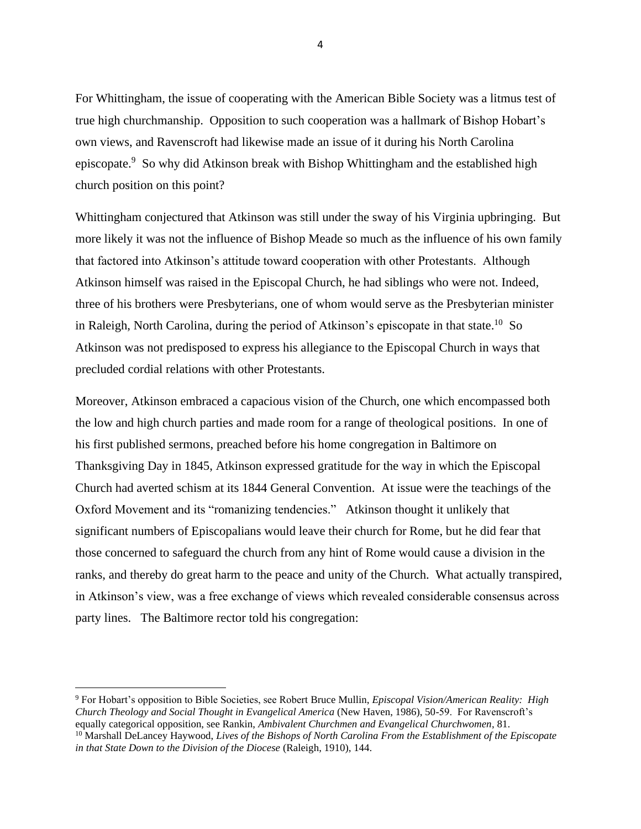For Whittingham, the issue of cooperating with the American Bible Society was a litmus test of true high churchmanship. Opposition to such cooperation was a hallmark of Bishop Hobart's own views, and Ravenscroft had likewise made an issue of it during his North Carolina episcopate.<sup>9</sup> So why did Atkinson break with Bishop Whittingham and the established high church position on this point?

Whittingham conjectured that Atkinson was still under the sway of his Virginia upbringing. But more likely it was not the influence of Bishop Meade so much as the influence of his own family that factored into Atkinson's attitude toward cooperation with other Protestants. Although Atkinson himself was raised in the Episcopal Church, he had siblings who were not. Indeed, three of his brothers were Presbyterians, one of whom would serve as the Presbyterian minister in Raleigh, North Carolina, during the period of Atkinson's episcopate in that state.<sup>10</sup> So Atkinson was not predisposed to express his allegiance to the Episcopal Church in ways that precluded cordial relations with other Protestants.

Moreover, Atkinson embraced a capacious vision of the Church, one which encompassed both the low and high church parties and made room for a range of theological positions. In one of his first published sermons, preached before his home congregation in Baltimore on Thanksgiving Day in 1845, Atkinson expressed gratitude for the way in which the Episcopal Church had averted schism at its 1844 General Convention. At issue were the teachings of the Oxford Movement and its "romanizing tendencies." Atkinson thought it unlikely that significant numbers of Episcopalians would leave their church for Rome, but he did fear that those concerned to safeguard the church from any hint of Rome would cause a division in the ranks, and thereby do great harm to the peace and unity of the Church. What actually transpired, in Atkinson's view, was a free exchange of views which revealed considerable consensus across party lines. The Baltimore rector told his congregation:

<sup>9</sup> For Hobart's opposition to Bible Societies, see Robert Bruce Mullin, *Episcopal Vision/American Reality: High Church Theology and Social Thought in Evangelical America* (New Haven, 1986), 50-59. For Ravenscroft's equally categorical opposition, see Rankin, *Ambivalent Churchmen and Evangelical Churchwomen*, 81.

<sup>10</sup> Marshall DeLancey Haywood, *Lives of the Bishops of North Carolina From the Establishment of the Episcopate in that State Down to the Division of the Diocese* (Raleigh, 1910), 144.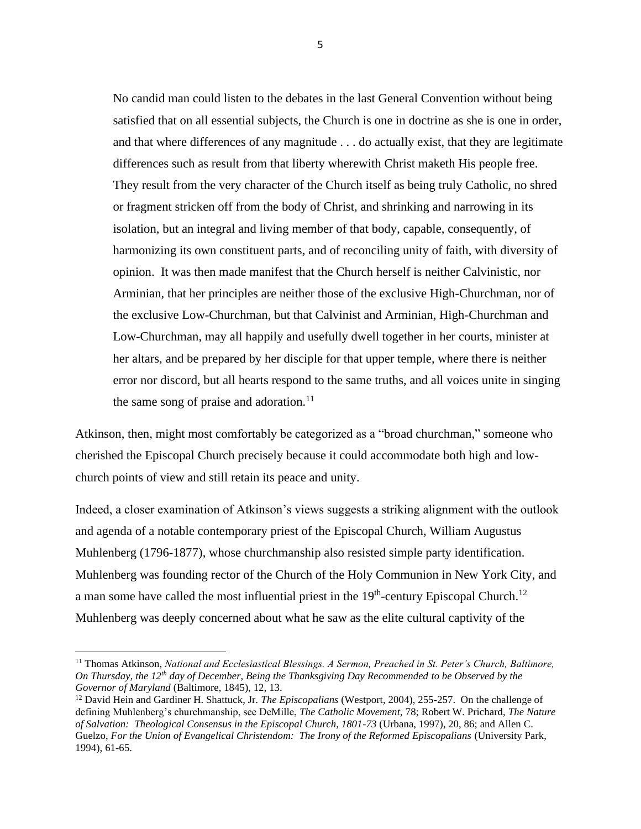No candid man could listen to the debates in the last General Convention without being satisfied that on all essential subjects, the Church is one in doctrine as she is one in order, and that where differences of any magnitude . . . do actually exist, that they are legitimate differences such as result from that liberty wherewith Christ maketh His people free. They result from the very character of the Church itself as being truly Catholic, no shred or fragment stricken off from the body of Christ, and shrinking and narrowing in its isolation, but an integral and living member of that body, capable, consequently, of harmonizing its own constituent parts, and of reconciling unity of faith, with diversity of opinion. It was then made manifest that the Church herself is neither Calvinistic, nor Arminian, that her principles are neither those of the exclusive High-Churchman, nor of the exclusive Low-Churchman, but that Calvinist and Arminian, High-Churchman and Low-Churchman, may all happily and usefully dwell together in her courts, minister at her altars, and be prepared by her disciple for that upper temple, where there is neither error nor discord, but all hearts respond to the same truths, and all voices unite in singing the same song of praise and adoration.<sup>11</sup>

Atkinson, then, might most comfortably be categorized as a "broad churchman," someone who cherished the Episcopal Church precisely because it could accommodate both high and lowchurch points of view and still retain its peace and unity.

Indeed, a closer examination of Atkinson's views suggests a striking alignment with the outlook and agenda of a notable contemporary priest of the Episcopal Church, William Augustus Muhlenberg (1796-1877), whose churchmanship also resisted simple party identification. Muhlenberg was founding rector of the Church of the Holy Communion in New York City, and a man some have called the most influential priest in the  $19<sup>th</sup>$ -century Episcopal Church.<sup>12</sup> Muhlenberg was deeply concerned about what he saw as the elite cultural captivity of the

<sup>11</sup> Thomas Atkinson, *National and Ecclesiastical Blessings. A Sermon, Preached in St. Peter's Church, Baltimore, On Thursday, the 12th day of December, Being the Thanksgiving Day Recommended to be Observed by the Governor of Maryland* (Baltimore, 1845), 12, 13.

<sup>12</sup> David Hein and Gardiner H. Shattuck, Jr. *The Episcopalians* (Westport, 2004), 255-257. On the challenge of defining Muhlenberg's churchmanship, see DeMille, *The Catholic Movement*, 78; Robert W. Prichard, *The Nature of Salvation: Theological Consensus in the Episcopal Church, 1801-73* (Urbana, 1997), 20, 86; and Allen C. Guelzo, *For the Union of Evangelical Christendom: The Irony of the Reformed Episcopalians* (University Park, 1994), 61-65.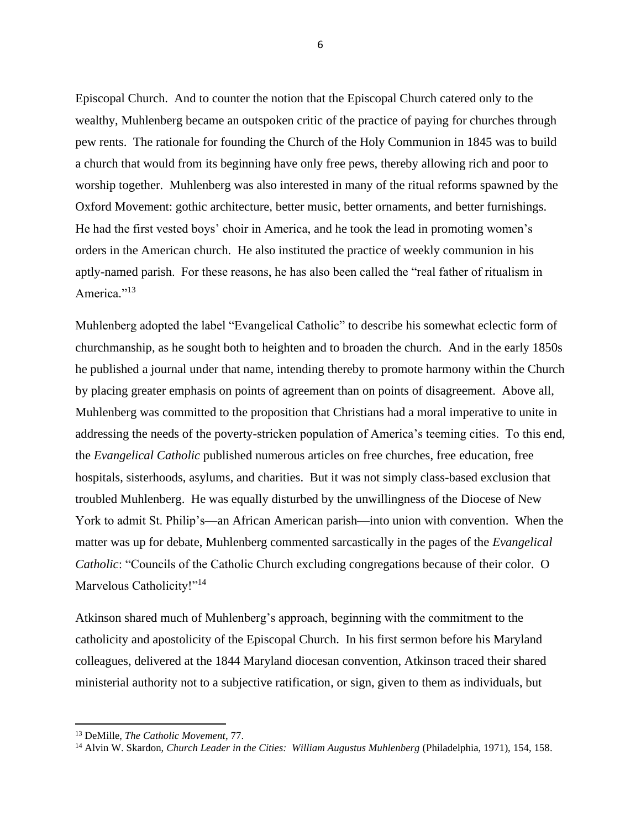Episcopal Church. And to counter the notion that the Episcopal Church catered only to the wealthy, Muhlenberg became an outspoken critic of the practice of paying for churches through pew rents. The rationale for founding the Church of the Holy Communion in 1845 was to build a church that would from its beginning have only free pews, thereby allowing rich and poor to worship together. Muhlenberg was also interested in many of the ritual reforms spawned by the Oxford Movement: gothic architecture, better music, better ornaments, and better furnishings. He had the first vested boys' choir in America, and he took the lead in promoting women's orders in the American church. He also instituted the practice of weekly communion in his aptly-named parish. For these reasons, he has also been called the "real father of ritualism in America."<sup>13</sup>

Muhlenberg adopted the label "Evangelical Catholic" to describe his somewhat eclectic form of churchmanship, as he sought both to heighten and to broaden the church. And in the early 1850s he published a journal under that name, intending thereby to promote harmony within the Church by placing greater emphasis on points of agreement than on points of disagreement. Above all, Muhlenberg was committed to the proposition that Christians had a moral imperative to unite in addressing the needs of the poverty-stricken population of America's teeming cities. To this end, the *Evangelical Catholic* published numerous articles on free churches, free education, free hospitals, sisterhoods, asylums, and charities. But it was not simply class-based exclusion that troubled Muhlenberg. He was equally disturbed by the unwillingness of the Diocese of New York to admit St. Philip's—an African American parish—into union with convention. When the matter was up for debate, Muhlenberg commented sarcastically in the pages of the *Evangelical Catholic*: "Councils of the Catholic Church excluding congregations because of their color. O Marvelous Catholicity!"<sup>14</sup>

Atkinson shared much of Muhlenberg's approach, beginning with the commitment to the catholicity and apostolicity of the Episcopal Church. In his first sermon before his Maryland colleagues, delivered at the 1844 Maryland diocesan convention, Atkinson traced their shared ministerial authority not to a subjective ratification, or sign, given to them as individuals, but

<sup>13</sup> DeMille, *The Catholic Movement*, 77.

<sup>&</sup>lt;sup>14</sup> Alvin W. Skardon, *Church Leader in the Cities: William Augustus Muhlenberg (Philadelphia, 1971), 154, 158.*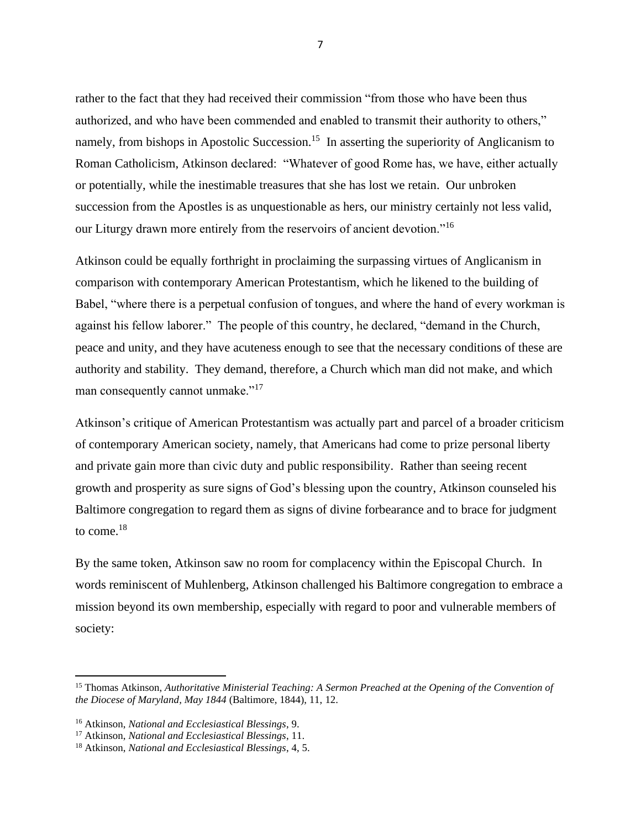rather to the fact that they had received their commission "from those who have been thus authorized, and who have been commended and enabled to transmit their authority to others," namely, from bishops in Apostolic Succession.<sup>15</sup> In asserting the superiority of Anglicanism to Roman Catholicism, Atkinson declared: "Whatever of good Rome has, we have, either actually or potentially, while the inestimable treasures that she has lost we retain. Our unbroken succession from the Apostles is as unquestionable as hers, our ministry certainly not less valid, our Liturgy drawn more entirely from the reservoirs of ancient devotion."<sup>16</sup>

Atkinson could be equally forthright in proclaiming the surpassing virtues of Anglicanism in comparison with contemporary American Protestantism, which he likened to the building of Babel, "where there is a perpetual confusion of tongues, and where the hand of every workman is against his fellow laborer." The people of this country, he declared, "demand in the Church, peace and unity, and they have acuteness enough to see that the necessary conditions of these are authority and stability. They demand, therefore, a Church which man did not make, and which man consequently cannot unmake."<sup>17</sup>

Atkinson's critique of American Protestantism was actually part and parcel of a broader criticism of contemporary American society, namely, that Americans had come to prize personal liberty and private gain more than civic duty and public responsibility. Rather than seeing recent growth and prosperity as sure signs of God's blessing upon the country, Atkinson counseled his Baltimore congregation to regard them as signs of divine forbearance and to brace for judgment to come.<sup>18</sup>

By the same token, Atkinson saw no room for complacency within the Episcopal Church. In words reminiscent of Muhlenberg, Atkinson challenged his Baltimore congregation to embrace a mission beyond its own membership, especially with regard to poor and vulnerable members of society:

<sup>15</sup> Thomas Atkinson, *Authoritative Ministerial Teaching: A Sermon Preached at the Opening of the Convention of the Diocese of Maryland, May 1844* (Baltimore, 1844), 11, 12.

<sup>16</sup> Atkinson, *National and Ecclesiastical Blessings*, 9.

<sup>17</sup> Atkinson, *National and Ecclesiastical Blessings*, 11.

<sup>18</sup> Atkinson, *National and Ecclesiastical Blessings*, 4, 5.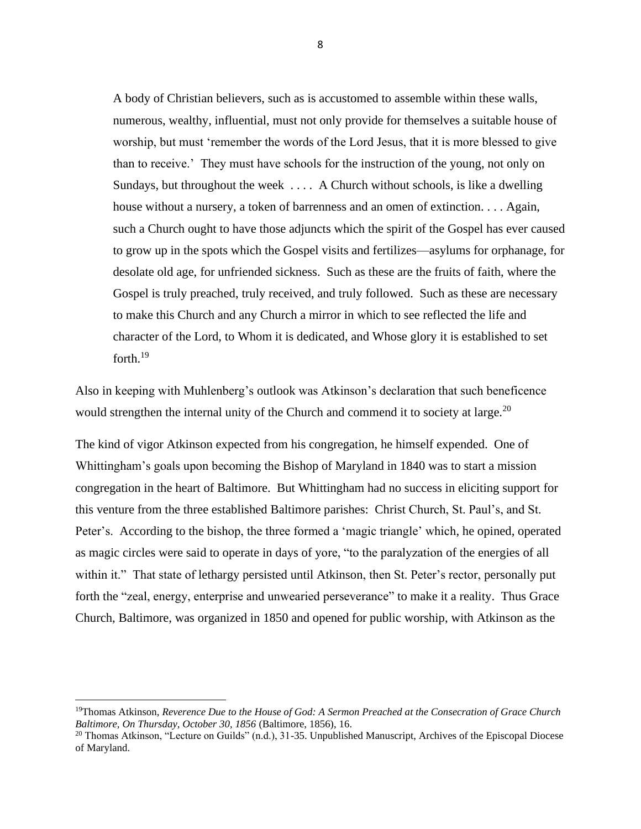A body of Christian believers, such as is accustomed to assemble within these walls, numerous, wealthy, influential, must not only provide for themselves a suitable house of worship, but must 'remember the words of the Lord Jesus, that it is more blessed to give than to receive.' They must have schools for the instruction of the young, not only on Sundays, but throughout the week . . . . A Church without schools, is like a dwelling house without a nursery, a token of barrenness and an omen of extinction. . . . Again, such a Church ought to have those adjuncts which the spirit of the Gospel has ever caused to grow up in the spots which the Gospel visits and fertilizes—asylums for orphanage, for desolate old age, for unfriended sickness. Such as these are the fruits of faith, where the Gospel is truly preached, truly received, and truly followed. Such as these are necessary to make this Church and any Church a mirror in which to see reflected the life and character of the Lord, to Whom it is dedicated, and Whose glory it is established to set forth.<sup>19</sup>

Also in keeping with Muhlenberg's outlook was Atkinson's declaration that such beneficence would strengthen the internal unity of the Church and commend it to society at large.<sup>20</sup>

The kind of vigor Atkinson expected from his congregation, he himself expended. One of Whittingham's goals upon becoming the Bishop of Maryland in 1840 was to start a mission congregation in the heart of Baltimore. But Whittingham had no success in eliciting support for this venture from the three established Baltimore parishes: Christ Church, St. Paul's, and St. Peter's. According to the bishop, the three formed a 'magic triangle' which, he opined, operated as magic circles were said to operate in days of yore, "to the paralyzation of the energies of all within it." That state of lethargy persisted until Atkinson, then St. Peter's rector, personally put forth the "zeal, energy, enterprise and unwearied perseverance" to make it a reality. Thus Grace Church, Baltimore, was organized in 1850 and opened for public worship, with Atkinson as the

<sup>19</sup>Thomas Atkinson, *Reverence Due to the House of God: A Sermon Preached at the Consecration of Grace Church Baltimore, On Thursday, October 30, 1856* (Baltimore, 1856), 16.

<sup>&</sup>lt;sup>20</sup> Thomas Atkinson, "Lecture on Guilds" (n.d.), 31-35. Unpublished Manuscript, Archives of the Episcopal Diocese of Maryland.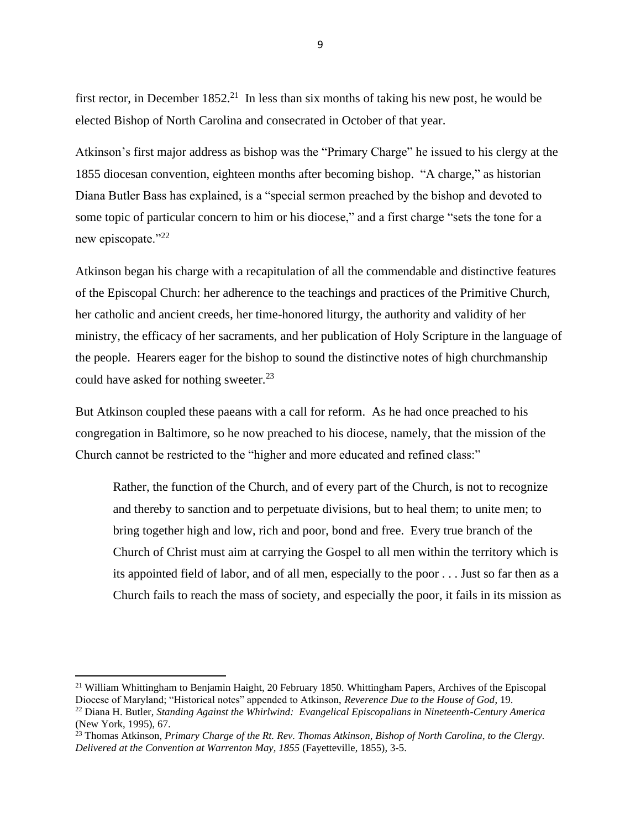first rector, in December  $1852<sup>21</sup>$  In less than six months of taking his new post, he would be elected Bishop of North Carolina and consecrated in October of that year.

Atkinson's first major address as bishop was the "Primary Charge" he issued to his clergy at the 1855 diocesan convention, eighteen months after becoming bishop. "A charge," as historian Diana Butler Bass has explained, is a "special sermon preached by the bishop and devoted to some topic of particular concern to him or his diocese," and a first charge "sets the tone for a new episcopate."22

Atkinson began his charge with a recapitulation of all the commendable and distinctive features of the Episcopal Church: her adherence to the teachings and practices of the Primitive Church, her catholic and ancient creeds, her time-honored liturgy, the authority and validity of her ministry, the efficacy of her sacraments, and her publication of Holy Scripture in the language of the people. Hearers eager for the bishop to sound the distinctive notes of high churchmanship could have asked for nothing sweeter.<sup>23</sup>

But Atkinson coupled these paeans with a call for reform. As he had once preached to his congregation in Baltimore, so he now preached to his diocese, namely, that the mission of the Church cannot be restricted to the "higher and more educated and refined class:"

Rather, the function of the Church, and of every part of the Church, is not to recognize and thereby to sanction and to perpetuate divisions, but to heal them; to unite men; to bring together high and low, rich and poor, bond and free. Every true branch of the Church of Christ must aim at carrying the Gospel to all men within the territory which is its appointed field of labor, and of all men, especially to the poor . . . Just so far then as a Church fails to reach the mass of society, and especially the poor, it fails in its mission as

<sup>&</sup>lt;sup>21</sup> William Whittingham to Benjamin Haight, 20 February 1850. Whittingham Papers, Archives of the Episcopal Diocese of Maryland; "Historical notes" appended to Atkinson, *Reverence Due to the House of God*, 19.

<sup>22</sup> Diana H. Butler, *Standing Against the Whirlwind: Evangelical Episcopalians in Nineteenth-Century America*  (New York, 1995), 67.

<sup>23</sup> Thomas Atkinson, *Primary Charge of the Rt. Rev. Thomas Atkinson, Bishop of North Carolina, to the Clergy. Delivered at the Convention at Warrenton May, 1855* (Fayetteville, 1855), 3-5.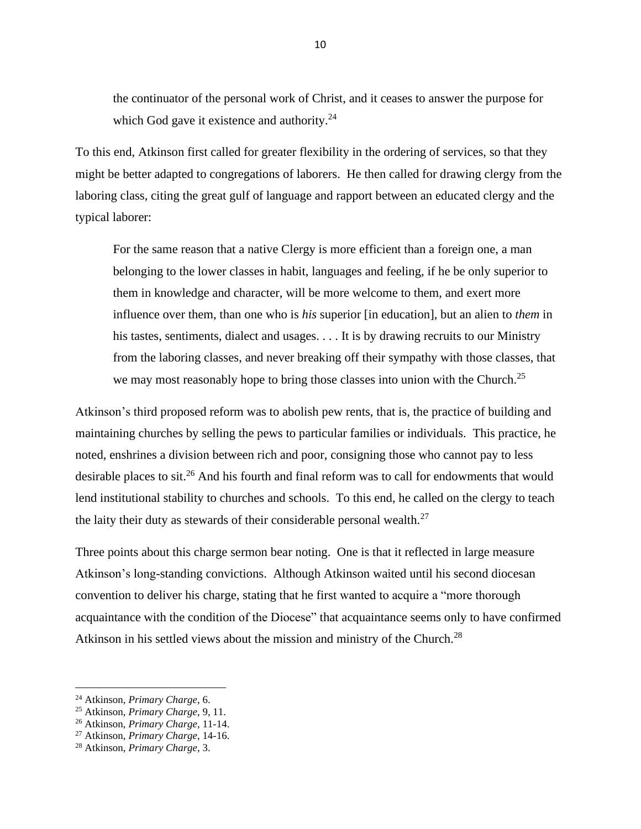the continuator of the personal work of Christ, and it ceases to answer the purpose for which God gave it existence and authority.<sup>24</sup>

To this end, Atkinson first called for greater flexibility in the ordering of services, so that they might be better adapted to congregations of laborers. He then called for drawing clergy from the laboring class, citing the great gulf of language and rapport between an educated clergy and the typical laborer:

For the same reason that a native Clergy is more efficient than a foreign one, a man belonging to the lower classes in habit, languages and feeling, if he be only superior to them in knowledge and character, will be more welcome to them, and exert more influence over them, than one who is *his* superior [in education], but an alien to *them* in his tastes, sentiments, dialect and usages. . . . It is by drawing recruits to our Ministry from the laboring classes, and never breaking off their sympathy with those classes, that we may most reasonably hope to bring those classes into union with the Church.<sup>25</sup>

Atkinson's third proposed reform was to abolish pew rents, that is, the practice of building and maintaining churches by selling the pews to particular families or individuals. This practice, he noted, enshrines a division between rich and poor, consigning those who cannot pay to less desirable places to sit.<sup>26</sup> And his fourth and final reform was to call for endowments that would lend institutional stability to churches and schools. To this end, he called on the clergy to teach the laity their duty as stewards of their considerable personal wealth.<sup>27</sup>

Three points about this charge sermon bear noting. One is that it reflected in large measure Atkinson's long-standing convictions. Although Atkinson waited until his second diocesan convention to deliver his charge, stating that he first wanted to acquire a "more thorough acquaintance with the condition of the Diocese" that acquaintance seems only to have confirmed Atkinson in his settled views about the mission and ministry of the Church.<sup>28</sup>

<sup>24</sup> Atkinson, *Primary Charge*, 6.

<sup>25</sup> Atkinson, *Primary Charge*, 9, 11.

<sup>26</sup> Atkinson, *Primary Charge*, 11-14.

<sup>27</sup> Atkinson, *Primary Charge*, 14-16.

<sup>28</sup> Atkinson, *Primary Charge*, 3.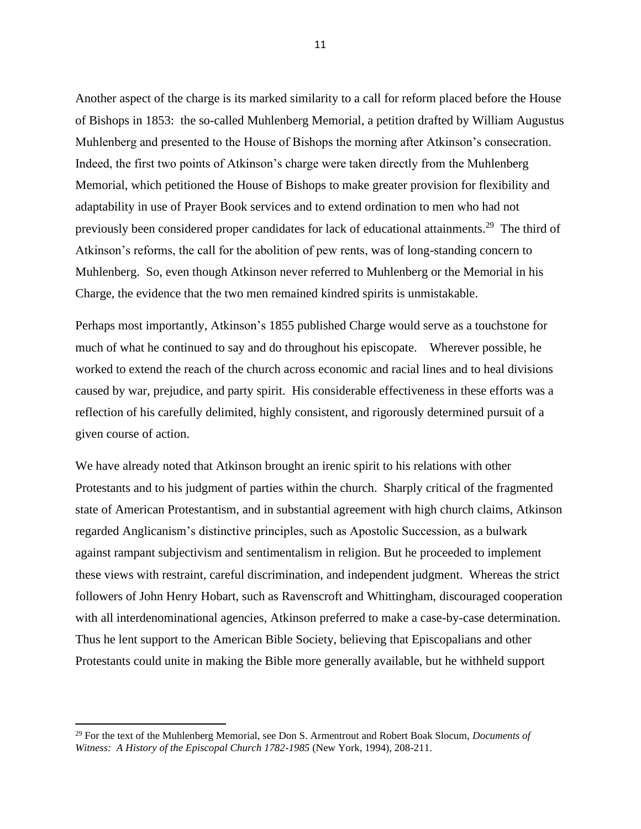Another aspect of the charge is its marked similarity to a call for reform placed before the House of Bishops in 1853: the so-called Muhlenberg Memorial, a petition drafted by William Augustus Muhlenberg and presented to the House of Bishops the morning after Atkinson's consecration. Indeed, the first two points of Atkinson's charge were taken directly from the Muhlenberg Memorial, which petitioned the House of Bishops to make greater provision for flexibility and adaptability in use of Prayer Book services and to extend ordination to men who had not previously been considered proper candidates for lack of educational attainments.<sup>29</sup> The third of Atkinson's reforms, the call for the abolition of pew rents, was of long-standing concern to Muhlenberg. So, even though Atkinson never referred to Muhlenberg or the Memorial in his Charge, the evidence that the two men remained kindred spirits is unmistakable.

Perhaps most importantly, Atkinson's 1855 published Charge would serve as a touchstone for much of what he continued to say and do throughout his episcopate. Wherever possible, he worked to extend the reach of the church across economic and racial lines and to heal divisions caused by war, prejudice, and party spirit. His considerable effectiveness in these efforts was a reflection of his carefully delimited, highly consistent, and rigorously determined pursuit of a given course of action.

We have already noted that Atkinson brought an irenic spirit to his relations with other Protestants and to his judgment of parties within the church. Sharply critical of the fragmented state of American Protestantism, and in substantial agreement with high church claims, Atkinson regarded Anglicanism's distinctive principles, such as Apostolic Succession, as a bulwark against rampant subjectivism and sentimentalism in religion. But he proceeded to implement these views with restraint, careful discrimination, and independent judgment. Whereas the strict followers of John Henry Hobart, such as Ravenscroft and Whittingham, discouraged cooperation with all interdenominational agencies, Atkinson preferred to make a case-by-case determination. Thus he lent support to the American Bible Society, believing that Episcopalians and other Protestants could unite in making the Bible more generally available, but he withheld support

<sup>29</sup> For the text of the Muhlenberg Memorial, see Don S. Armentrout and Robert Boak Slocum, *Documents of Witness: A History of the Episcopal Church 1782-1985 (New York, 1994), 208-211.*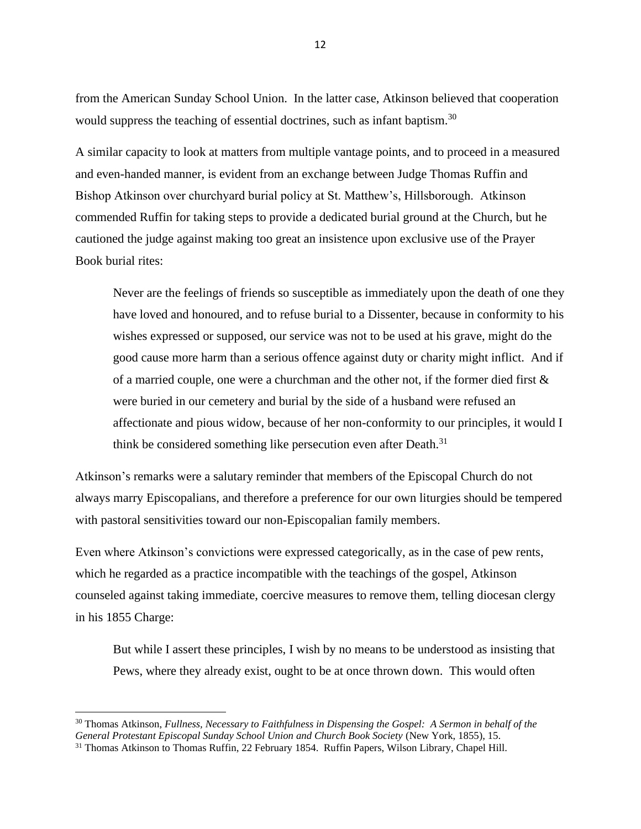from the American Sunday School Union. In the latter case, Atkinson believed that cooperation would suppress the teaching of essential doctrines, such as infant baptism.<sup>30</sup>

A similar capacity to look at matters from multiple vantage points, and to proceed in a measured and even-handed manner, is evident from an exchange between Judge Thomas Ruffin and Bishop Atkinson over churchyard burial policy at St. Matthew's, Hillsborough. Atkinson commended Ruffin for taking steps to provide a dedicated burial ground at the Church, but he cautioned the judge against making too great an insistence upon exclusive use of the Prayer Book burial rites:

Never are the feelings of friends so susceptible as immediately upon the death of one they have loved and honoured, and to refuse burial to a Dissenter, because in conformity to his wishes expressed or supposed, our service was not to be used at his grave, might do the good cause more harm than a serious offence against duty or charity might inflict. And if of a married couple, one were a churchman and the other not, if the former died first  $\&$ were buried in our cemetery and burial by the side of a husband were refused an affectionate and pious widow, because of her non-conformity to our principles, it would I think be considered something like persecution even after Death.<sup>31</sup>

Atkinson's remarks were a salutary reminder that members of the Episcopal Church do not always marry Episcopalians, and therefore a preference for our own liturgies should be tempered with pastoral sensitivities toward our non-Episcopalian family members.

Even where Atkinson's convictions were expressed categorically, as in the case of pew rents, which he regarded as a practice incompatible with the teachings of the gospel, Atkinson counseled against taking immediate, coercive measures to remove them, telling diocesan clergy in his 1855 Charge:

But while I assert these principles, I wish by no means to be understood as insisting that Pews, where they already exist, ought to be at once thrown down. This would often

<sup>30</sup> Thomas Atkinson, *Fullness, Necessary to Faithfulness in Dispensing the Gospel: A Sermon in behalf of the General Protestant Episcopal Sunday School Union and Church Book Society* (New York, 1855), 15.

<sup>&</sup>lt;sup>31</sup> Thomas Atkinson to Thomas Ruffin, 22 February 1854. Ruffin Papers, Wilson Library, Chapel Hill.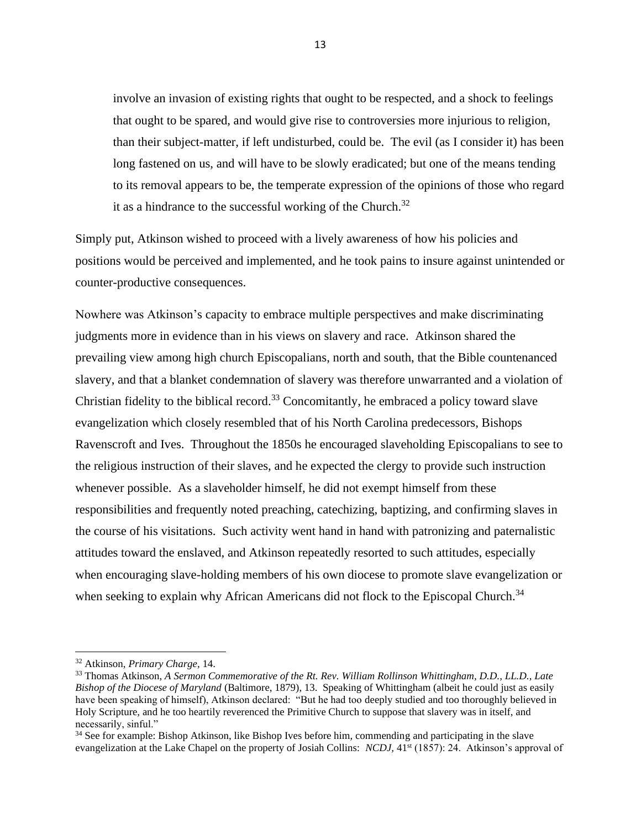involve an invasion of existing rights that ought to be respected, and a shock to feelings that ought to be spared, and would give rise to controversies more injurious to religion, than their subject-matter, if left undisturbed, could be. The evil (as I consider it) has been long fastened on us, and will have to be slowly eradicated; but one of the means tending to its removal appears to be, the temperate expression of the opinions of those who regard it as a hindrance to the successful working of the Church.<sup>32</sup>

Simply put, Atkinson wished to proceed with a lively awareness of how his policies and positions would be perceived and implemented, and he took pains to insure against unintended or counter-productive consequences.

Nowhere was Atkinson's capacity to embrace multiple perspectives and make discriminating judgments more in evidence than in his views on slavery and race. Atkinson shared the prevailing view among high church Episcopalians, north and south, that the Bible countenanced slavery, and that a blanket condemnation of slavery was therefore unwarranted and a violation of Christian fidelity to the biblical record.<sup>33</sup> Concomitantly, he embraced a policy toward slave evangelization which closely resembled that of his North Carolina predecessors, Bishops Ravenscroft and Ives. Throughout the 1850s he encouraged slaveholding Episcopalians to see to the religious instruction of their slaves, and he expected the clergy to provide such instruction whenever possible. As a slaveholder himself, he did not exempt himself from these responsibilities and frequently noted preaching, catechizing, baptizing, and confirming slaves in the course of his visitations. Such activity went hand in hand with patronizing and paternalistic attitudes toward the enslaved, and Atkinson repeatedly resorted to such attitudes, especially when encouraging slave-holding members of his own diocese to promote slave evangelization or when seeking to explain why African Americans did not flock to the Episcopal Church.<sup>34</sup>

<sup>32</sup> Atkinson, *Primary Charge*, 14.

<sup>33</sup> Thomas Atkinson, *A Sermon Commemorative of the Rt. Rev. William Rollinson Whittingham, D.D., LL.D., Late Bishop of the Diocese of Maryland* (Baltimore, 1879), 13. Speaking of Whittingham (albeit he could just as easily have been speaking of himself), Atkinson declared: "But he had too deeply studied and too thoroughly believed in Holy Scripture, and he too heartily reverenced the Primitive Church to suppose that slavery was in itself, and necessarily, sinful."

<sup>34</sup> See for example: Bishop Atkinson, like Bishop Ives before him, commending and participating in the slave evangelization at the Lake Chapel on the property of Josiah Collins: *NCDJ*, 41<sup>st</sup> (1857): 24. Atkinson's approval of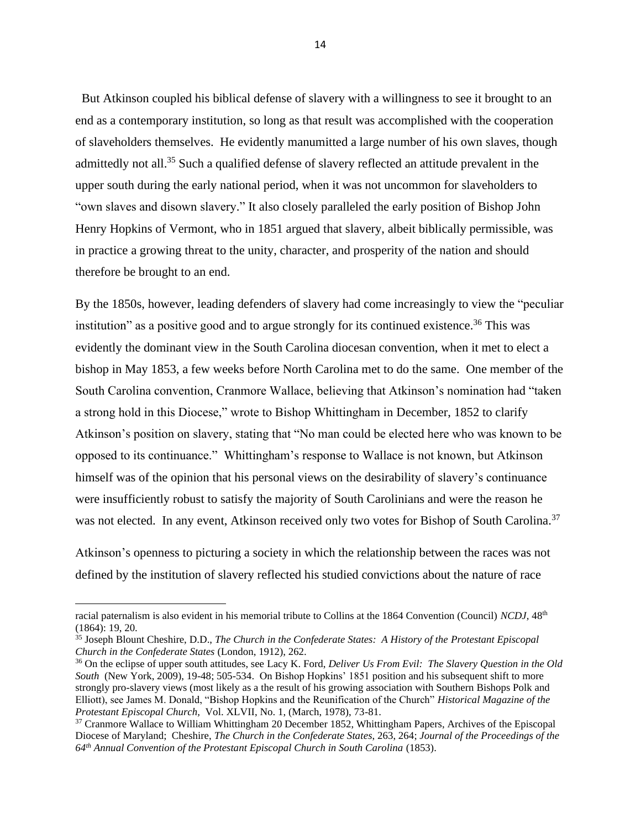But Atkinson coupled his biblical defense of slavery with a willingness to see it brought to an end as a contemporary institution, so long as that result was accomplished with the cooperation of slaveholders themselves. He evidently manumitted a large number of his own slaves, though admittedly not all.<sup>35</sup> Such a qualified defense of slavery reflected an attitude prevalent in the upper south during the early national period, when it was not uncommon for slaveholders to "own slaves and disown slavery." It also closely paralleled the early position of Bishop John Henry Hopkins of Vermont, who in 1851 argued that slavery, albeit biblically permissible, was in practice a growing threat to the unity, character, and prosperity of the nation and should therefore be brought to an end.

By the 1850s, however, leading defenders of slavery had come increasingly to view the "peculiar institution" as a positive good and to argue strongly for its continued existence.<sup>36</sup> This was evidently the dominant view in the South Carolina diocesan convention, when it met to elect a bishop in May 1853, a few weeks before North Carolina met to do the same. One member of the South Carolina convention, Cranmore Wallace, believing that Atkinson's nomination had "taken a strong hold in this Diocese," wrote to Bishop Whittingham in December, 1852 to clarify Atkinson's position on slavery, stating that "No man could be elected here who was known to be opposed to its continuance." Whittingham's response to Wallace is not known, but Atkinson himself was of the opinion that his personal views on the desirability of slavery's continuance were insufficiently robust to satisfy the majority of South Carolinians and were the reason he was not elected. In any event, Atkinson received only two votes for Bishop of South Carolina.<sup>37</sup>

Atkinson's openness to picturing a society in which the relationship between the races was not defined by the institution of slavery reflected his studied convictions about the nature of race

racial paternalism is also evident in his memorial tribute to Collins at the 1864 Convention (Council) *NCDJ,* 48th (1864): 19, 20.

<sup>35</sup> Joseph Blount Cheshire, D.D., *The Church in the Confederate States: A History of the Protestant Episcopal Church in the Confederate States* (London, 1912), 262.

<sup>36</sup> On the eclipse of upper south attitudes, see Lacy K. Ford, *Deliver Us From Evil: The Slavery Question in the Old South* (New York, 2009), 19-48; 505-534. On Bishop Hopkins' 1851 position and his subsequent shift to more strongly pro-slavery views (most likely as a the result of his growing association with Southern Bishops Polk and Elliott), see James M. Donald, "Bishop Hopkins and the Reunification of the Church" *Historical Magazine of the Protestant Episcopal Church,* Vol. XLVII, No. 1, (March, 1978), 73-81.

<sup>&</sup>lt;sup>37</sup> Cranmore Wallace to William Whittingham 20 December 1852, Whittingham Papers, Archives of the Episcopal Diocese of Maryland; Cheshire, *The Church in the Confederate States*, 263, 264; *Journal of the Proceedings of the 64th Annual Convention of the Protestant Episcopal Church in South Carolina* (1853).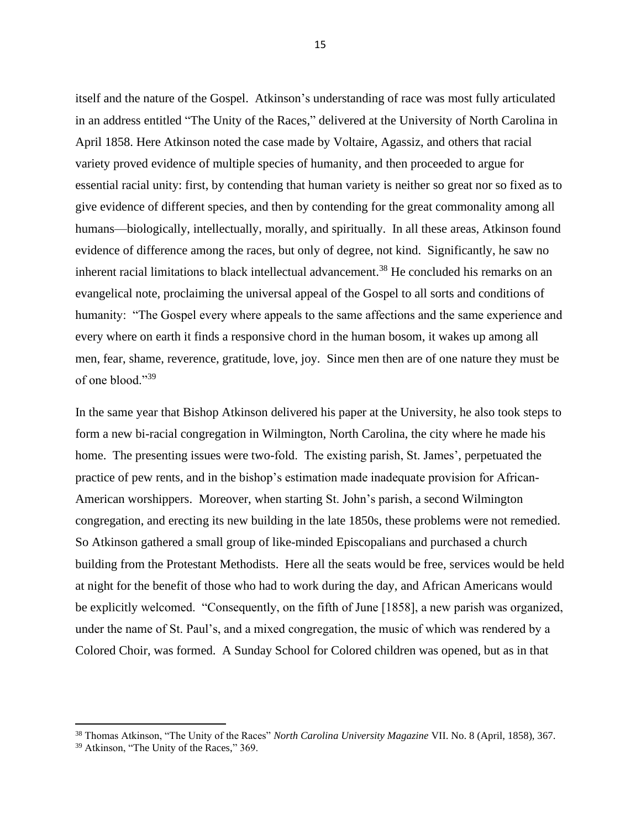itself and the nature of the Gospel. Atkinson's understanding of race was most fully articulated in an address entitled "The Unity of the Races," delivered at the University of North Carolina in April 1858. Here Atkinson noted the case made by Voltaire, Agassiz, and others that racial variety proved evidence of multiple species of humanity, and then proceeded to argue for essential racial unity: first, by contending that human variety is neither so great nor so fixed as to give evidence of different species, and then by contending for the great commonality among all humans—biologically, intellectually, morally, and spiritually. In all these areas, Atkinson found evidence of difference among the races, but only of degree, not kind. Significantly, he saw no inherent racial limitations to black intellectual advancement.<sup>38</sup> He concluded his remarks on an evangelical note, proclaiming the universal appeal of the Gospel to all sorts and conditions of humanity: "The Gospel every where appeals to the same affections and the same experience and every where on earth it finds a responsive chord in the human bosom, it wakes up among all men, fear, shame, reverence, gratitude, love, joy. Since men then are of one nature they must be of one blood."<sup>39</sup>

In the same year that Bishop Atkinson delivered his paper at the University, he also took steps to form a new bi-racial congregation in Wilmington, North Carolina, the city where he made his home. The presenting issues were two-fold. The existing parish, St. James', perpetuated the practice of pew rents, and in the bishop's estimation made inadequate provision for African-American worshippers. Moreover, when starting St. John's parish, a second Wilmington congregation, and erecting its new building in the late 1850s, these problems were not remedied. So Atkinson gathered a small group of like-minded Episcopalians and purchased a church building from the Protestant Methodists. Here all the seats would be free, services would be held at night for the benefit of those who had to work during the day, and African Americans would be explicitly welcomed. "Consequently, on the fifth of June [1858], a new parish was organized, under the name of St. Paul's, and a mixed congregation, the music of which was rendered by a Colored Choir, was formed. A Sunday School for Colored children was opened, but as in that

<sup>38</sup> Thomas Atkinson, "The Unity of the Races" *North Carolina University Magazine* VII. No. 8 (April, 1858), 367.

<sup>&</sup>lt;sup>39</sup> Atkinson, "The Unity of the Races," 369.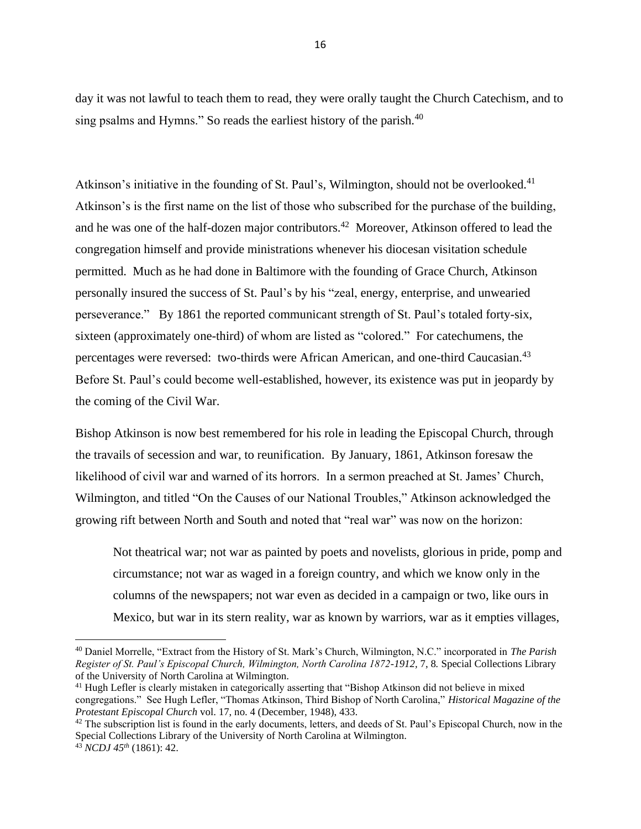day it was not lawful to teach them to read, they were orally taught the Church Catechism, and to sing psalms and Hymns." So reads the earliest history of the parish.<sup>40</sup>

Atkinson's initiative in the founding of St. Paul's, Wilmington, should not be overlooked.<sup>41</sup> Atkinson's is the first name on the list of those who subscribed for the purchase of the building, and he was one of the half-dozen major contributors.<sup>42</sup> Moreover, Atkinson offered to lead the congregation himself and provide ministrations whenever his diocesan visitation schedule permitted. Much as he had done in Baltimore with the founding of Grace Church, Atkinson personally insured the success of St. Paul's by his "zeal, energy, enterprise, and unwearied perseverance." By 1861 the reported communicant strength of St. Paul's totaled forty-six, sixteen (approximately one-third) of whom are listed as "colored." For catechumens, the percentages were reversed: two-thirds were African American, and one-third Caucasian.<sup>43</sup> Before St. Paul's could become well-established, however, its existence was put in jeopardy by the coming of the Civil War.

Bishop Atkinson is now best remembered for his role in leading the Episcopal Church, through the travails of secession and war, to reunification. By January, 1861, Atkinson foresaw the likelihood of civil war and warned of its horrors. In a sermon preached at St. James' Church, Wilmington, and titled "On the Causes of our National Troubles," Atkinson acknowledged the growing rift between North and South and noted that "real war" was now on the horizon:

Not theatrical war; not war as painted by poets and novelists, glorious in pride, pomp and circumstance; not war as waged in a foreign country, and which we know only in the columns of the newspapers; not war even as decided in a campaign or two, like ours in Mexico, but war in its stern reality, war as known by warriors, war as it empties villages,

<sup>40</sup> Daniel Morrelle, "Extract from the History of St. Mark's Church, Wilmington, N.C." incorporated in *The Parish Register of St. Paul's Episcopal Church, Wilmington, North Carolina 1872-1912,* 7, 8*.* Special Collections Library of the University of North Carolina at Wilmington.

<sup>&</sup>lt;sup>41</sup> Hugh Lefler is clearly mistaken in categorically asserting that "Bishop Atkinson did not believe in mixed congregations." See Hugh Lefler, "Thomas Atkinson, Third Bishop of North Carolina," *Historical Magazine of the Protestant Episcopal Church* vol. 17, no. 4 (December, 1948), 433.

<sup>&</sup>lt;sup>42</sup> The subscription list is found in the early documents, letters, and deeds of St. Paul's Episcopal Church, now in the Special Collections Library of the University of North Carolina at Wilmington. <sup>43</sup> *NCDJ 45th* (1861): 42.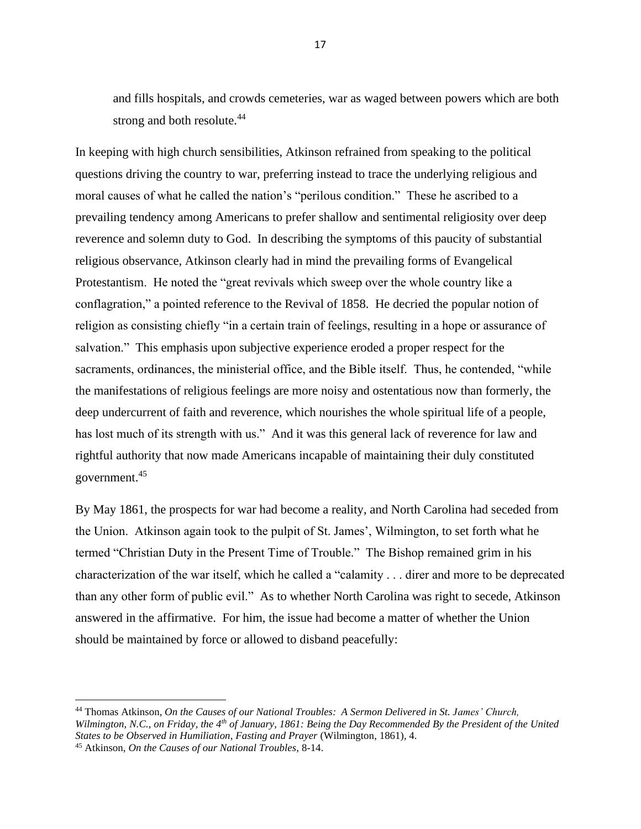and fills hospitals, and crowds cemeteries, war as waged between powers which are both strong and both resolute.<sup>44</sup>

In keeping with high church sensibilities, Atkinson refrained from speaking to the political questions driving the country to war, preferring instead to trace the underlying religious and moral causes of what he called the nation's "perilous condition." These he ascribed to a prevailing tendency among Americans to prefer shallow and sentimental religiosity over deep reverence and solemn duty to God. In describing the symptoms of this paucity of substantial religious observance, Atkinson clearly had in mind the prevailing forms of Evangelical Protestantism. He noted the "great revivals which sweep over the whole country like a conflagration," a pointed reference to the Revival of 1858. He decried the popular notion of religion as consisting chiefly "in a certain train of feelings, resulting in a hope or assurance of salvation." This emphasis upon subjective experience eroded a proper respect for the sacraments, ordinances, the ministerial office, and the Bible itself. Thus, he contended, "while the manifestations of religious feelings are more noisy and ostentatious now than formerly, the deep undercurrent of faith and reverence, which nourishes the whole spiritual life of a people, has lost much of its strength with us." And it was this general lack of reverence for law and rightful authority that now made Americans incapable of maintaining their duly constituted government.<sup>45</sup>

By May 1861, the prospects for war had become a reality, and North Carolina had seceded from the Union. Atkinson again took to the pulpit of St. James', Wilmington, to set forth what he termed "Christian Duty in the Present Time of Trouble." The Bishop remained grim in his characterization of the war itself, which he called a "calamity . . . direr and more to be deprecated than any other form of public evil." As to whether North Carolina was right to secede, Atkinson answered in the affirmative. For him, the issue had become a matter of whether the Union should be maintained by force or allowed to disband peacefully:

<sup>44</sup> Thomas Atkinson, *On the Causes of our National Troubles: A Sermon Delivered in St. James' Church, Wilmington, N.C., on Friday, the 4th of January, 1861: Being the Day Recommended By the President of the United States to be Observed in Humiliation, Fasting and Prayer* (Wilmington, 1861), 4.

<sup>45</sup> Atkinson, *On the Causes of our National Troubles*, 8-14.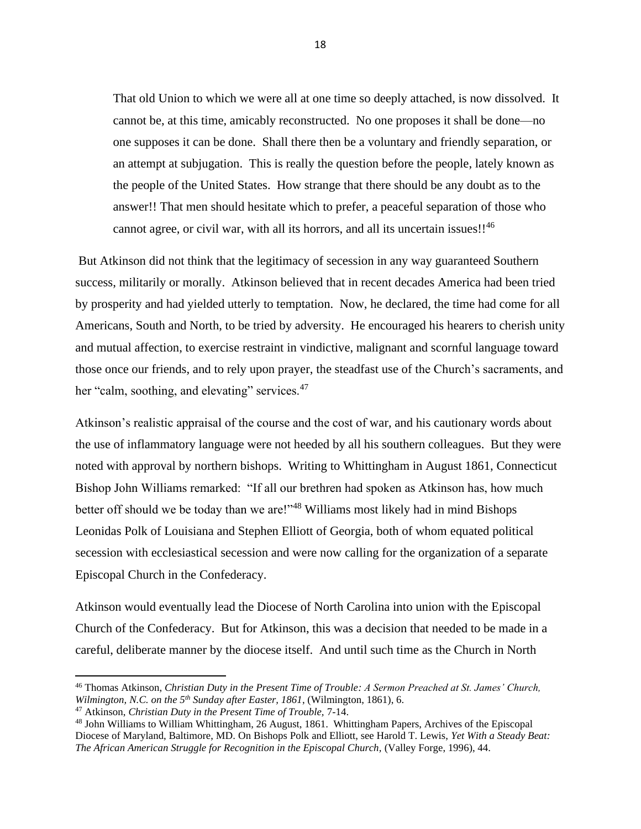That old Union to which we were all at one time so deeply attached, is now dissolved. It cannot be, at this time, amicably reconstructed. No one proposes it shall be done—no one supposes it can be done. Shall there then be a voluntary and friendly separation, or an attempt at subjugation. This is really the question before the people, lately known as the people of the United States. How strange that there should be any doubt as to the answer!! That men should hesitate which to prefer, a peaceful separation of those who cannot agree, or civil war, with all its horrors, and all its uncertain issues!!<sup>46</sup>

But Atkinson did not think that the legitimacy of secession in any way guaranteed Southern success, militarily or morally. Atkinson believed that in recent decades America had been tried by prosperity and had yielded utterly to temptation. Now, he declared, the time had come for all Americans, South and North, to be tried by adversity. He encouraged his hearers to cherish unity and mutual affection, to exercise restraint in vindictive, malignant and scornful language toward those once our friends, and to rely upon prayer, the steadfast use of the Church's sacraments, and her "calm, soothing, and elevating" services.<sup>47</sup>

Atkinson's realistic appraisal of the course and the cost of war, and his cautionary words about the use of inflammatory language were not heeded by all his southern colleagues. But they were noted with approval by northern bishops. Writing to Whittingham in August 1861, Connecticut Bishop John Williams remarked: "If all our brethren had spoken as Atkinson has, how much better off should we be today than we are!"<sup>48</sup> Williams most likely had in mind Bishops Leonidas Polk of Louisiana and Stephen Elliott of Georgia, both of whom equated political secession with ecclesiastical secession and were now calling for the organization of a separate Episcopal Church in the Confederacy.

Atkinson would eventually lead the Diocese of North Carolina into union with the Episcopal Church of the Confederacy. But for Atkinson, this was a decision that needed to be made in a careful, deliberate manner by the diocese itself. And until such time as the Church in North

<sup>46</sup> Thomas Atkinson, *Christian Duty in the Present Time of Trouble: A Sermon Preached at St. James' Church, Wilmington, N.C. on the 5th Sunday after Easter, 1861*, (Wilmington, 1861), 6.

<sup>47</sup> Atkinson, *Christian Duty in the Present Time of Trouble,* 7-14.

<sup>48</sup> John Williams to William Whittingham, 26 August, 1861. Whittingham Papers, Archives of the Episcopal Diocese of Maryland, Baltimore, MD. On Bishops Polk and Elliott, see Harold T. Lewis, *Yet With a Steady Beat: The African American Struggle for Recognition in the Episcopal Church,* (Valley Forge, 1996), 44.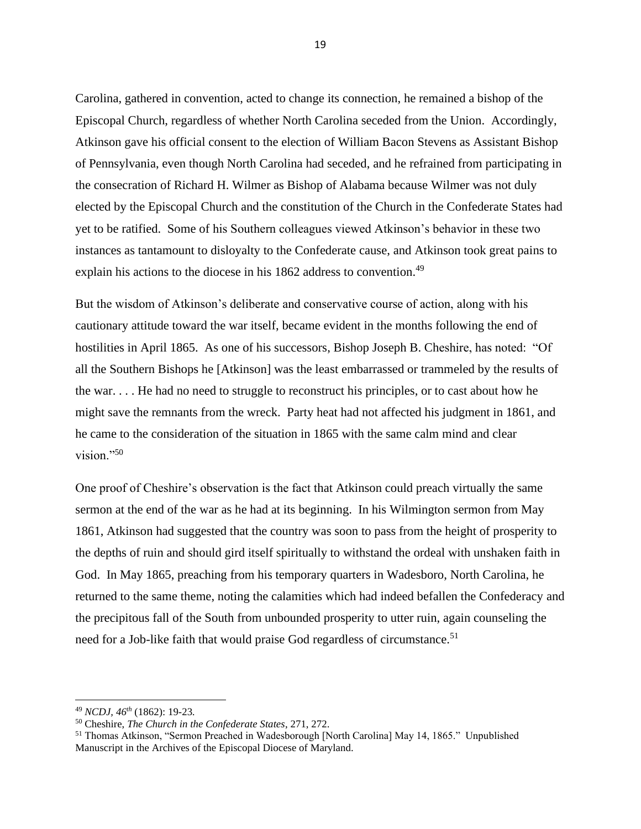Carolina, gathered in convention, acted to change its connection, he remained a bishop of the Episcopal Church, regardless of whether North Carolina seceded from the Union. Accordingly, Atkinson gave his official consent to the election of William Bacon Stevens as Assistant Bishop of Pennsylvania, even though North Carolina had seceded, and he refrained from participating in the consecration of Richard H. Wilmer as Bishop of Alabama because Wilmer was not duly elected by the Episcopal Church and the constitution of the Church in the Confederate States had yet to be ratified. Some of his Southern colleagues viewed Atkinson's behavior in these two instances as tantamount to disloyalty to the Confederate cause, and Atkinson took great pains to explain his actions to the diocese in his 1862 address to convention.<sup>49</sup>

But the wisdom of Atkinson's deliberate and conservative course of action, along with his cautionary attitude toward the war itself, became evident in the months following the end of hostilities in April 1865. As one of his successors, Bishop Joseph B. Cheshire, has noted: "Of all the Southern Bishops he [Atkinson] was the least embarrassed or trammeled by the results of the war. . . . He had no need to struggle to reconstruct his principles, or to cast about how he might save the remnants from the wreck. Party heat had not affected his judgment in 1861, and he came to the consideration of the situation in 1865 with the same calm mind and clear vision."<sup>50</sup>

One proof of Cheshire's observation is the fact that Atkinson could preach virtually the same sermon at the end of the war as he had at its beginning. In his Wilmington sermon from May 1861, Atkinson had suggested that the country was soon to pass from the height of prosperity to the depths of ruin and should gird itself spiritually to withstand the ordeal with unshaken faith in God. In May 1865, preaching from his temporary quarters in Wadesboro, North Carolina, he returned to the same theme, noting the calamities which had indeed befallen the Confederacy and the precipitous fall of the South from unbounded prosperity to utter ruin, again counseling the need for a Job-like faith that would praise God regardless of circumstance.<sup>51</sup>

<sup>49</sup> *NCDJ, 46th* (1862): 19-23*.*

<sup>50</sup> Cheshire, *The Church in the Confederate States*, 271, 272.

<sup>51</sup> Thomas Atkinson, "Sermon Preached in Wadesborough [North Carolina] May 14, 1865." Unpublished Manuscript in the Archives of the Episcopal Diocese of Maryland.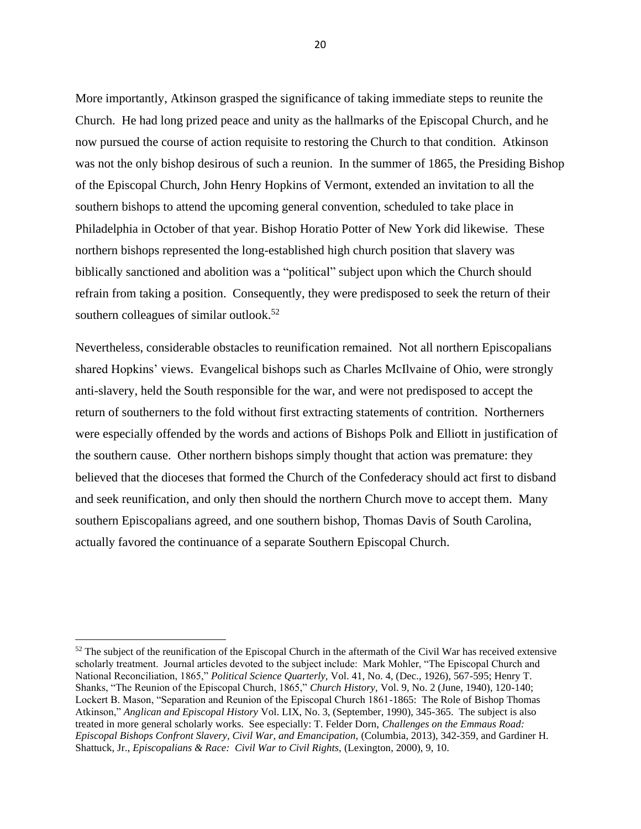More importantly, Atkinson grasped the significance of taking immediate steps to reunite the Church. He had long prized peace and unity as the hallmarks of the Episcopal Church, and he now pursued the course of action requisite to restoring the Church to that condition. Atkinson was not the only bishop desirous of such a reunion. In the summer of 1865, the Presiding Bishop of the Episcopal Church, John Henry Hopkins of Vermont, extended an invitation to all the southern bishops to attend the upcoming general convention, scheduled to take place in Philadelphia in October of that year. Bishop Horatio Potter of New York did likewise. These northern bishops represented the long-established high church position that slavery was biblically sanctioned and abolition was a "political" subject upon which the Church should refrain from taking a position. Consequently, they were predisposed to seek the return of their southern colleagues of similar outlook.<sup>52</sup>

Nevertheless, considerable obstacles to reunification remained. Not all northern Episcopalians shared Hopkins' views. Evangelical bishops such as Charles McIlvaine of Ohio, were strongly anti-slavery, held the South responsible for the war, and were not predisposed to accept the return of southerners to the fold without first extracting statements of contrition. Northerners were especially offended by the words and actions of Bishops Polk and Elliott in justification of the southern cause. Other northern bishops simply thought that action was premature: they believed that the dioceses that formed the Church of the Confederacy should act first to disband and seek reunification, and only then should the northern Church move to accept them. Many southern Episcopalians agreed, and one southern bishop, Thomas Davis of South Carolina, actually favored the continuance of a separate Southern Episcopal Church.

<sup>&</sup>lt;sup>52</sup> The subject of the reunification of the Episcopal Church in the aftermath of the Civil War has received extensive scholarly treatment. Journal articles devoted to the subject include: Mark Mohler, "The Episcopal Church and National Reconciliation, 1865," *Political Science Quarterly,* Vol. 41, No. 4, (Dec., 1926), 567-595; Henry T. Shanks, "The Reunion of the Episcopal Church, 1865," *Church History,* Vol. 9, No. 2 (June, 1940), 120-140; Lockert B. Mason, "Separation and Reunion of the Episcopal Church 1861-1865: The Role of Bishop Thomas Atkinson," *Anglican and Episcopal History* Vol. LIX, No. 3, (September, 1990), 345-365. The subject is also treated in more general scholarly works. See especially: T. Felder Dorn, *Challenges on the Emmaus Road: Episcopal Bishops Confront Slavery, Civil War, and Emancipation,* (Columbia, 2013), 342-359, and Gardiner H. Shattuck, Jr., *Episcopalians & Race: Civil War to Civil Rights*, (Lexington, 2000), 9, 10.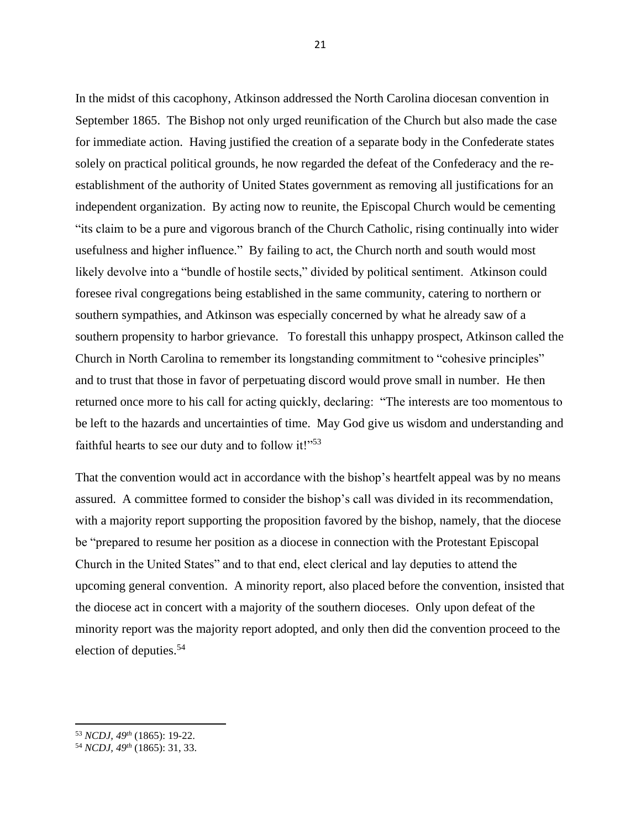In the midst of this cacophony, Atkinson addressed the North Carolina diocesan convention in September 1865. The Bishop not only urged reunification of the Church but also made the case for immediate action. Having justified the creation of a separate body in the Confederate states solely on practical political grounds, he now regarded the defeat of the Confederacy and the reestablishment of the authority of United States government as removing all justifications for an independent organization. By acting now to reunite, the Episcopal Church would be cementing "its claim to be a pure and vigorous branch of the Church Catholic, rising continually into wider usefulness and higher influence." By failing to act, the Church north and south would most likely devolve into a "bundle of hostile sects," divided by political sentiment. Atkinson could foresee rival congregations being established in the same community, catering to northern or southern sympathies, and Atkinson was especially concerned by what he already saw of a southern propensity to harbor grievance. To forestall this unhappy prospect, Atkinson called the Church in North Carolina to remember its longstanding commitment to "cohesive principles" and to trust that those in favor of perpetuating discord would prove small in number. He then returned once more to his call for acting quickly, declaring: "The interests are too momentous to be left to the hazards and uncertainties of time. May God give us wisdom and understanding and faithful hearts to see our duty and to follow it!" $53$ 

That the convention would act in accordance with the bishop's heartfelt appeal was by no means assured. A committee formed to consider the bishop's call was divided in its recommendation, with a majority report supporting the proposition favored by the bishop, namely, that the diocese be "prepared to resume her position as a diocese in connection with the Protestant Episcopal Church in the United States" and to that end, elect clerical and lay deputies to attend the upcoming general convention. A minority report, also placed before the convention, insisted that the diocese act in concert with a majority of the southern dioceses. Only upon defeat of the minority report was the majority report adopted, and only then did the convention proceed to the election of deputies.<sup>54</sup>

<sup>53</sup> *NCDJ, 49th* (1865): 19-22.

<sup>54</sup> *NCDJ, 49th* (1865): 31, 33.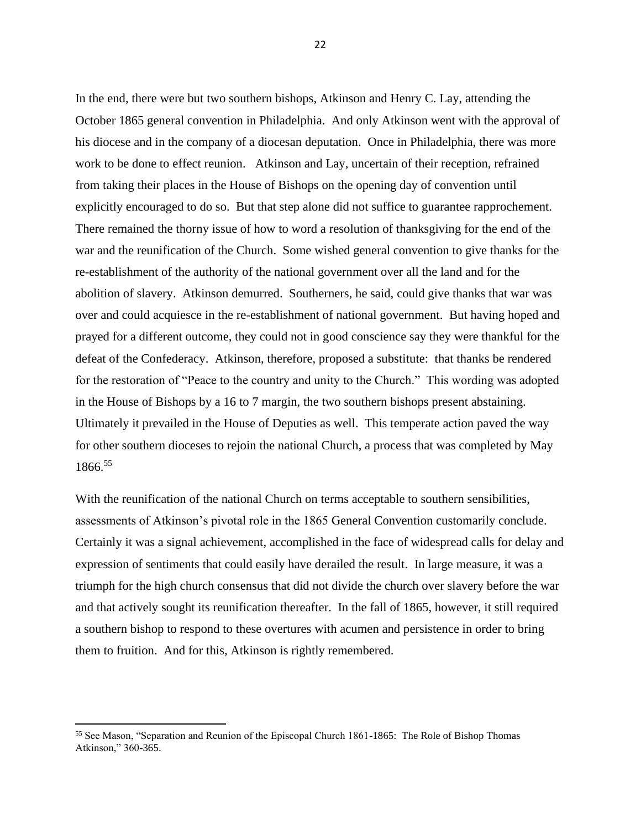In the end, there were but two southern bishops, Atkinson and Henry C. Lay, attending the October 1865 general convention in Philadelphia. And only Atkinson went with the approval of his diocese and in the company of a diocesan deputation. Once in Philadelphia, there was more work to be done to effect reunion. Atkinson and Lay, uncertain of their reception, refrained from taking their places in the House of Bishops on the opening day of convention until explicitly encouraged to do so. But that step alone did not suffice to guarantee rapprochement. There remained the thorny issue of how to word a resolution of thanksgiving for the end of the war and the reunification of the Church. Some wished general convention to give thanks for the re-establishment of the authority of the national government over all the land and for the abolition of slavery. Atkinson demurred. Southerners, he said, could give thanks that war was over and could acquiesce in the re-establishment of national government. But having hoped and prayed for a different outcome, they could not in good conscience say they were thankful for the defeat of the Confederacy. Atkinson, therefore, proposed a substitute: that thanks be rendered for the restoration of "Peace to the country and unity to the Church." This wording was adopted in the House of Bishops by a 16 to 7 margin, the two southern bishops present abstaining. Ultimately it prevailed in the House of Deputies as well. This temperate action paved the way for other southern dioceses to rejoin the national Church, a process that was completed by May 1866.<sup>55</sup>

With the reunification of the national Church on terms acceptable to southern sensibilities, assessments of Atkinson's pivotal role in the 1865 General Convention customarily conclude. Certainly it was a signal achievement, accomplished in the face of widespread calls for delay and expression of sentiments that could easily have derailed the result. In large measure, it was a triumph for the high church consensus that did not divide the church over slavery before the war and that actively sought its reunification thereafter. In the fall of 1865, however, it still required a southern bishop to respond to these overtures with acumen and persistence in order to bring them to fruition. And for this, Atkinson is rightly remembered.

<sup>55</sup> See Mason, "Separation and Reunion of the Episcopal Church 1861-1865: The Role of Bishop Thomas Atkinson," 360-365.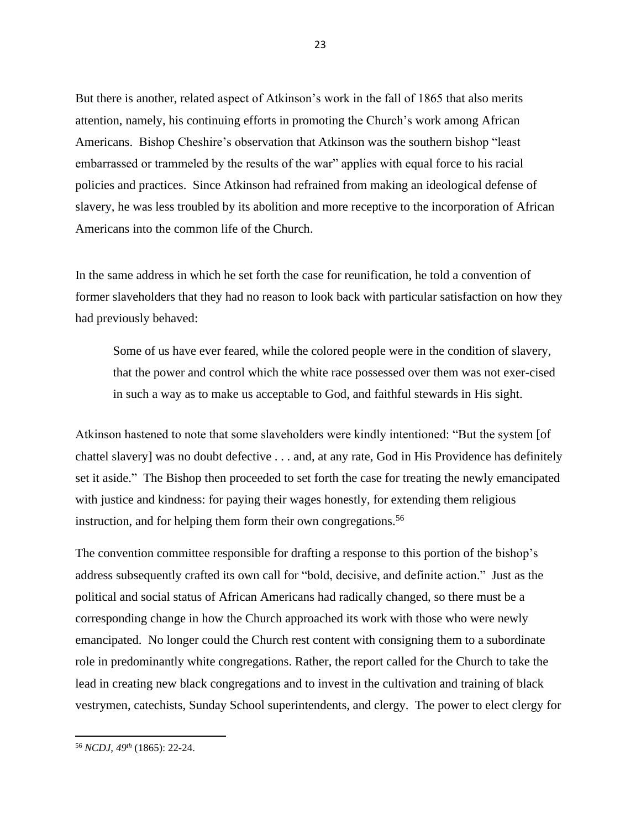But there is another, related aspect of Atkinson's work in the fall of 1865 that also merits attention, namely, his continuing efforts in promoting the Church's work among African Americans. Bishop Cheshire's observation that Atkinson was the southern bishop "least embarrassed or trammeled by the results of the war" applies with equal force to his racial policies and practices. Since Atkinson had refrained from making an ideological defense of slavery, he was less troubled by its abolition and more receptive to the incorporation of African Americans into the common life of the Church.

In the same address in which he set forth the case for reunification, he told a convention of former slaveholders that they had no reason to look back with particular satisfaction on how they had previously behaved:

Some of us have ever feared, while the colored people were in the condition of slavery, that the power and control which the white race possessed over them was not exer-cised in such a way as to make us acceptable to God, and faithful stewards in His sight.

Atkinson hastened to note that some slaveholders were kindly intentioned: "But the system [of chattel slavery] was no doubt defective . . . and, at any rate, God in His Providence has definitely set it aside." The Bishop then proceeded to set forth the case for treating the newly emancipated with justice and kindness: for paying their wages honestly, for extending them religious instruction, and for helping them form their own congregations. 56

The convention committee responsible for drafting a response to this portion of the bishop's address subsequently crafted its own call for "bold, decisive, and definite action." Just as the political and social status of African Americans had radically changed, so there must be a corresponding change in how the Church approached its work with those who were newly emancipated. No longer could the Church rest content with consigning them to a subordinate role in predominantly white congregations. Rather, the report called for the Church to take the lead in creating new black congregations and to invest in the cultivation and training of black vestrymen, catechists, Sunday School superintendents, and clergy. The power to elect clergy for

<sup>56</sup> *NCDJ, 49th* (1865): 22-24.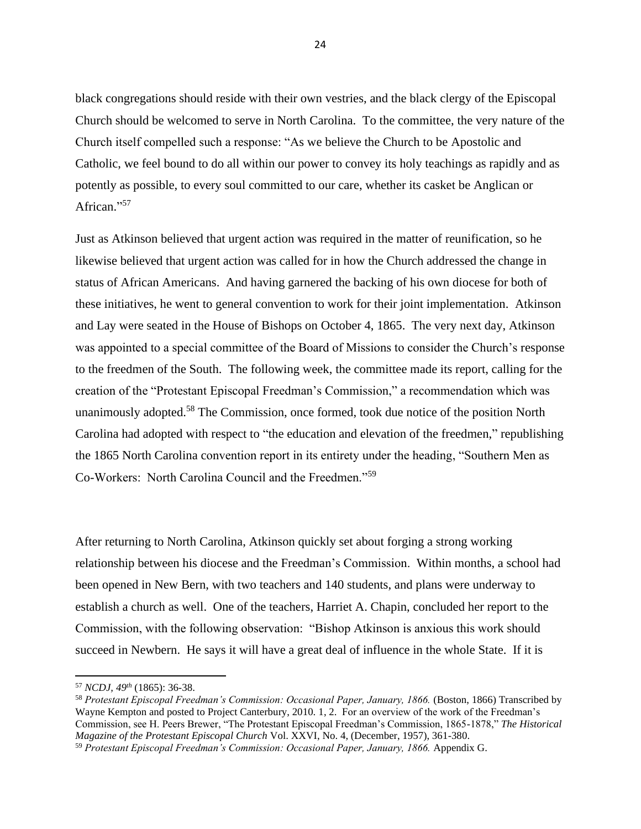black congregations should reside with their own vestries, and the black clergy of the Episcopal Church should be welcomed to serve in North Carolina. To the committee, the very nature of the Church itself compelled such a response: "As we believe the Church to be Apostolic and Catholic, we feel bound to do all within our power to convey its holy teachings as rapidly and as potently as possible, to every soul committed to our care, whether its casket be Anglican or African."<sup>57</sup>

Just as Atkinson believed that urgent action was required in the matter of reunification, so he likewise believed that urgent action was called for in how the Church addressed the change in status of African Americans. And having garnered the backing of his own diocese for both of these initiatives, he went to general convention to work for their joint implementation. Atkinson and Lay were seated in the House of Bishops on October 4, 1865. The very next day, Atkinson was appointed to a special committee of the Board of Missions to consider the Church's response to the freedmen of the South. The following week, the committee made its report, calling for the creation of the "Protestant Episcopal Freedman's Commission," a recommendation which was unanimously adopted.<sup>58</sup> The Commission, once formed, took due notice of the position North Carolina had adopted with respect to "the education and elevation of the freedmen," republishing the 1865 North Carolina convention report in its entirety under the heading, "Southern Men as Co-Workers: North Carolina Council and the Freedmen."<sup>59</sup>

After returning to North Carolina, Atkinson quickly set about forging a strong working relationship between his diocese and the Freedman's Commission. Within months, a school had been opened in New Bern, with two teachers and 140 students, and plans were underway to establish a church as well. One of the teachers, Harriet A. Chapin, concluded her report to the Commission, with the following observation: "Bishop Atkinson is anxious this work should succeed in Newbern. He says it will have a great deal of influence in the whole State. If it is

<sup>57</sup> *NCDJ, 49th* (1865): 36-38.

<sup>58</sup> *Protestant Episcopal Freedman's Commission: Occasional Paper, January, 1866.* (Boston, 1866) Transcribed by Wayne Kempton and posted to Project Canterbury, 2010. 1, 2. For an overview of the work of the Freedman's Commission, see H. Peers Brewer, "The Protestant Episcopal Freedman's Commission, 1865-1878," *The Historical Magazine of the Protestant Episcopal Church* Vol. XXVI, No. 4, (December, 1957), 361-380.

<sup>59</sup> *Protestant Episcopal Freedman's Commission: Occasional Paper, January, 1866.* Appendix G.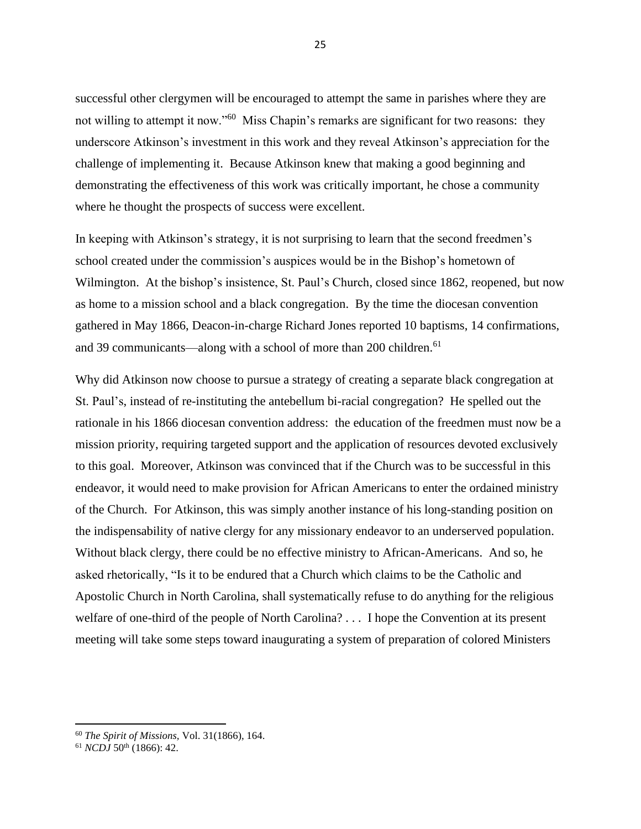successful other clergymen will be encouraged to attempt the same in parishes where they are not willing to attempt it now."<sup>60</sup> Miss Chapin's remarks are significant for two reasons: they underscore Atkinson's investment in this work and they reveal Atkinson's appreciation for the challenge of implementing it. Because Atkinson knew that making a good beginning and demonstrating the effectiveness of this work was critically important, he chose a community where he thought the prospects of success were excellent.

In keeping with Atkinson's strategy, it is not surprising to learn that the second freedmen's school created under the commission's auspices would be in the Bishop's hometown of Wilmington. At the bishop's insistence, St. Paul's Church, closed since 1862, reopened, but now as home to a mission school and a black congregation. By the time the diocesan convention gathered in May 1866, Deacon-in-charge Richard Jones reported 10 baptisms, 14 confirmations, and 39 communicants—along with a school of more than 200 children.<sup>61</sup>

Why did Atkinson now choose to pursue a strategy of creating a separate black congregation at St. Paul's, instead of re-instituting the antebellum bi-racial congregation? He spelled out the rationale in his 1866 diocesan convention address: the education of the freedmen must now be a mission priority, requiring targeted support and the application of resources devoted exclusively to this goal. Moreover, Atkinson was convinced that if the Church was to be successful in this endeavor, it would need to make provision for African Americans to enter the ordained ministry of the Church. For Atkinson, this was simply another instance of his long-standing position on the indispensability of native clergy for any missionary endeavor to an underserved population. Without black clergy, there could be no effective ministry to African-Americans. And so, he asked rhetorically, "Is it to be endured that a Church which claims to be the Catholic and Apostolic Church in North Carolina, shall systematically refuse to do anything for the religious welfare of one-third of the people of North Carolina? . . . I hope the Convention at its present meeting will take some steps toward inaugurating a system of preparation of colored Ministers

<sup>60</sup> *The Spirit of Missions,* Vol. 31(1866), 164.

 $61$  *NCDJ* 50<sup>th</sup> (1866): 42.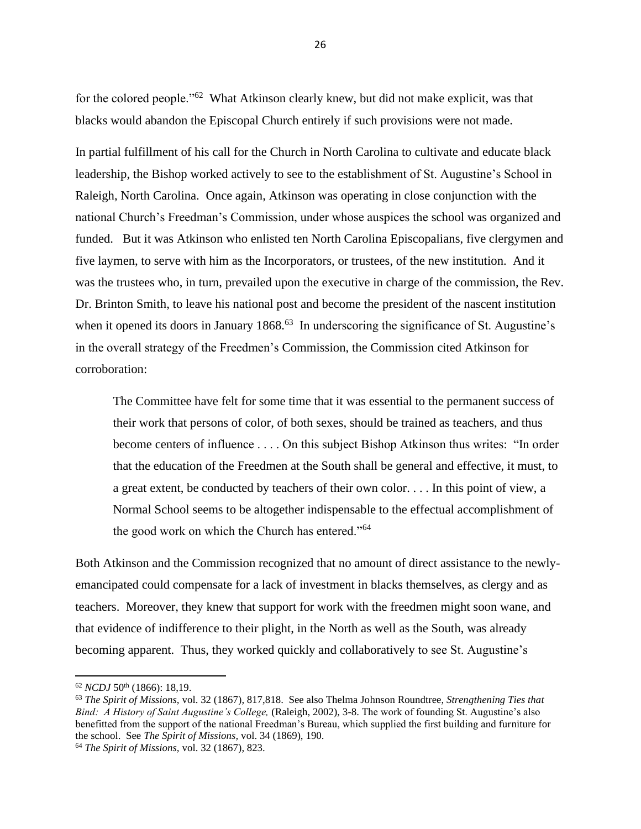for the colored people."<sup>62</sup> What Atkinson clearly knew, but did not make explicit, was that blacks would abandon the Episcopal Church entirely if such provisions were not made.

In partial fulfillment of his call for the Church in North Carolina to cultivate and educate black leadership, the Bishop worked actively to see to the establishment of St. Augustine's School in Raleigh, North Carolina. Once again, Atkinson was operating in close conjunction with the national Church's Freedman's Commission, under whose auspices the school was organized and funded. But it was Atkinson who enlisted ten North Carolina Episcopalians, five clergymen and five laymen, to serve with him as the Incorporators, or trustees, of the new institution. And it was the trustees who, in turn, prevailed upon the executive in charge of the commission, the Rev. Dr. Brinton Smith, to leave his national post and become the president of the nascent institution when it opened its doors in January 1868.<sup>63</sup> In underscoring the significance of St. Augustine's in the overall strategy of the Freedmen's Commission, the Commission cited Atkinson for corroboration:

The Committee have felt for some time that it was essential to the permanent success of their work that persons of color, of both sexes, should be trained as teachers, and thus become centers of influence . . . . On this subject Bishop Atkinson thus writes: "In order that the education of the Freedmen at the South shall be general and effective, it must, to a great extent, be conducted by teachers of their own color. . . . In this point of view, a Normal School seems to be altogether indispensable to the effectual accomplishment of the good work on which the Church has entered."<sup>64</sup>

Both Atkinson and the Commission recognized that no amount of direct assistance to the newlyemancipated could compensate for a lack of investment in blacks themselves, as clergy and as teachers. Moreover, they knew that support for work with the freedmen might soon wane, and that evidence of indifference to their plight, in the North as well as the South, was already becoming apparent. Thus, they worked quickly and collaboratively to see St. Augustine's

<sup>62</sup> *NCDJ* 50th (1866): 18,19.

<sup>63</sup> *The Spirit of Missions,* vol. 32 (1867), 817,818. See also Thelma Johnson Roundtree, *Strengthening Ties that Bind: A History of Saint Augustine's College,* (Raleigh, 2002), 3-8. The work of founding St. Augustine's also benefitted from the support of the national Freedman's Bureau, which supplied the first building and furniture for the school. See *The Spirit of Missions,* vol. 34 (1869), 190.

<sup>64</sup> *The Spirit of Missions,* vol. 32 (1867), 823.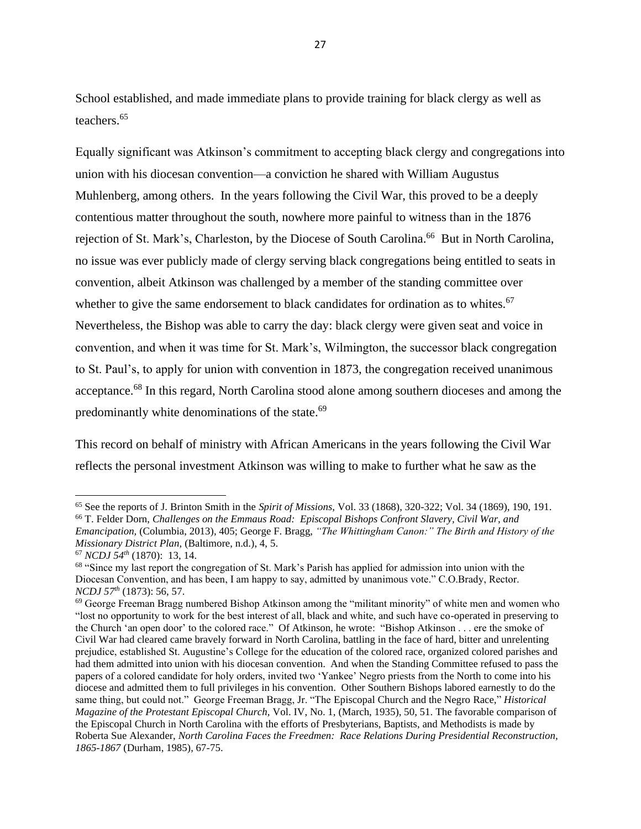School established, and made immediate plans to provide training for black clergy as well as teachers.<sup>65</sup>

Equally significant was Atkinson's commitment to accepting black clergy and congregations into union with his diocesan convention—a conviction he shared with William Augustus Muhlenberg, among others. In the years following the Civil War, this proved to be a deeply contentious matter throughout the south, nowhere more painful to witness than in the 1876 rejection of St. Mark's, Charleston, by the Diocese of South Carolina.<sup>66</sup> But in North Carolina, no issue was ever publicly made of clergy serving black congregations being entitled to seats in convention, albeit Atkinson was challenged by a member of the standing committee over whether to give the same endorsement to black candidates for ordination as to whites.<sup>67</sup> Nevertheless, the Bishop was able to carry the day: black clergy were given seat and voice in convention, and when it was time for St. Mark's, Wilmington, the successor black congregation to St. Paul's, to apply for union with convention in 1873, the congregation received unanimous acceptance.<sup>68</sup> In this regard, North Carolina stood alone among southern dioceses and among the predominantly white denominations of the state.<sup>69</sup>

This record on behalf of ministry with African Americans in the years following the Civil War reflects the personal investment Atkinson was willing to make to further what he saw as the

<sup>65</sup> See the reports of J. Brinton Smith in the *Spirit of Missions*, Vol. 33 (1868), 320-322; Vol. 34 (1869), 190, 191. <sup>66</sup> T. Felder Dorn, *Challenges on the Emmaus Road: Episcopal Bishops Confront Slavery, Civil War, and Emancipation,* (Columbia, 2013), 405; George F. Bragg, *"The Whittingham Canon:" The Birth and History of the Missionary District Plan,* (Baltimore, n.d.), 4, 5.

<sup>67</sup> *NCDJ 54th* (1870): 13, 14.

<sup>&</sup>lt;sup>68</sup> "Since my last report the congregation of St. Mark's Parish has applied for admission into union with the Diocesan Convention, and has been, I am happy to say, admitted by unanimous vote." C.O.Brady, Rector. *NCDJ 57th* (1873): 56, 57.

<sup>69</sup> George Freeman Bragg numbered Bishop Atkinson among the "militant minority" of white men and women who "lost no opportunity to work for the best interest of all, black and white, and such have co-operated in preserving to the Church 'an open door' to the colored race." Of Atkinson, he wrote: "Bishop Atkinson . . . ere the smoke of Civil War had cleared came bravely forward in North Carolina, battling in the face of hard, bitter and unrelenting prejudice, established St. Augustine's College for the education of the colored race, organized colored parishes and had them admitted into union with his diocesan convention. And when the Standing Committee refused to pass the papers of a colored candidate for holy orders, invited two 'Yankee' Negro priests from the North to come into his diocese and admitted them to full privileges in his convention. Other Southern Bishops labored earnestly to do the same thing, but could not." George Freeman Bragg, Jr. "The Episcopal Church and the Negro Race," *Historical Magazine of the Protestant Episcopal Church,* Vol. IV, No. 1, (March, 1935), 50, 51. The favorable comparison of the Episcopal Church in North Carolina with the efforts of Presbyterians, Baptists, and Methodists is made by Roberta Sue Alexander, *North Carolina Faces the Freedmen: Race Relations During Presidential Reconstruction, 1865-1867* (Durham, 1985), 67-75.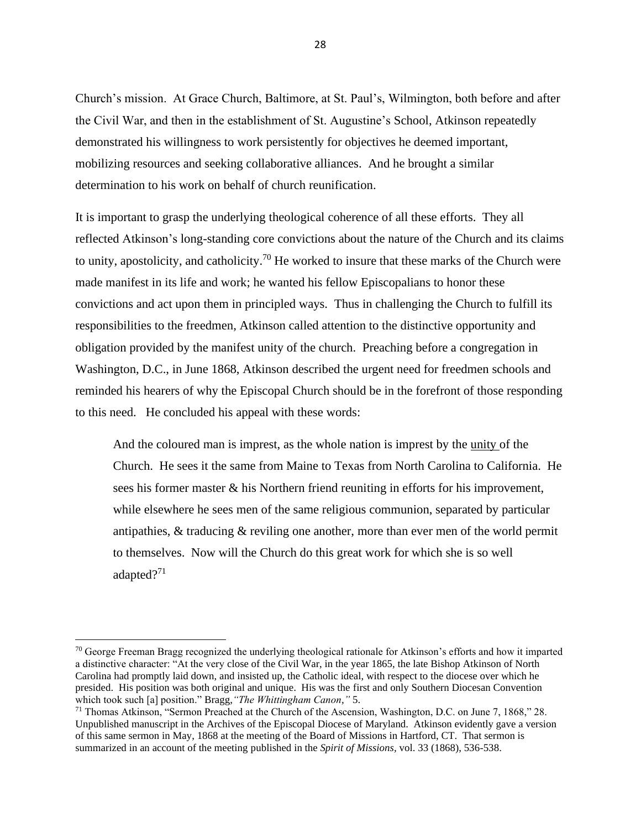Church's mission. At Grace Church, Baltimore, at St. Paul's, Wilmington, both before and after the Civil War, and then in the establishment of St. Augustine's School, Atkinson repeatedly demonstrated his willingness to work persistently for objectives he deemed important, mobilizing resources and seeking collaborative alliances. And he brought a similar determination to his work on behalf of church reunification.

It is important to grasp the underlying theological coherence of all these efforts. They all reflected Atkinson's long-standing core convictions about the nature of the Church and its claims to unity, apostolicity, and catholicity.<sup>70</sup> He worked to insure that these marks of the Church were made manifest in its life and work; he wanted his fellow Episcopalians to honor these convictions and act upon them in principled ways. Thus in challenging the Church to fulfill its responsibilities to the freedmen, Atkinson called attention to the distinctive opportunity and obligation provided by the manifest unity of the church. Preaching before a congregation in Washington, D.C., in June 1868, Atkinson described the urgent need for freedmen schools and reminded his hearers of why the Episcopal Church should be in the forefront of those responding to this need. He concluded his appeal with these words:

And the coloured man is imprest, as the whole nation is imprest by the unity of the Church. He sees it the same from Maine to Texas from North Carolina to California. He sees his former master & his Northern friend reuniting in efforts for his improvement, while elsewhere he sees men of the same religious communion, separated by particular antipathies, & traducing & reviling one another, more than ever men of the world permit to themselves. Now will the Church do this great work for which she is so well adapted?<sup>71</sup>

 $70$  George Freeman Bragg recognized the underlying theological rationale for Atkinson's efforts and how it imparted a distinctive character: "At the very close of the Civil War, in the year 1865, the late Bishop Atkinson of North Carolina had promptly laid down, and insisted up, the Catholic ideal, with respect to the diocese over which he presided. His position was both original and unique. His was the first and only Southern Diocesan Convention which took such [a] position." Bragg,*"The Whittingham Canon,"* 5.

<sup>71</sup> Thomas Atkinson, "Sermon Preached at the Church of the Ascension, Washington, D.C. on June 7, 1868," 28. Unpublished manuscript in the Archives of the Episcopal Diocese of Maryland. Atkinson evidently gave a version of this same sermon in May, 1868 at the meeting of the Board of Missions in Hartford, CT. That sermon is summarized in an account of the meeting published in the *Spirit of Missions,* vol. 33 (1868), 536-538.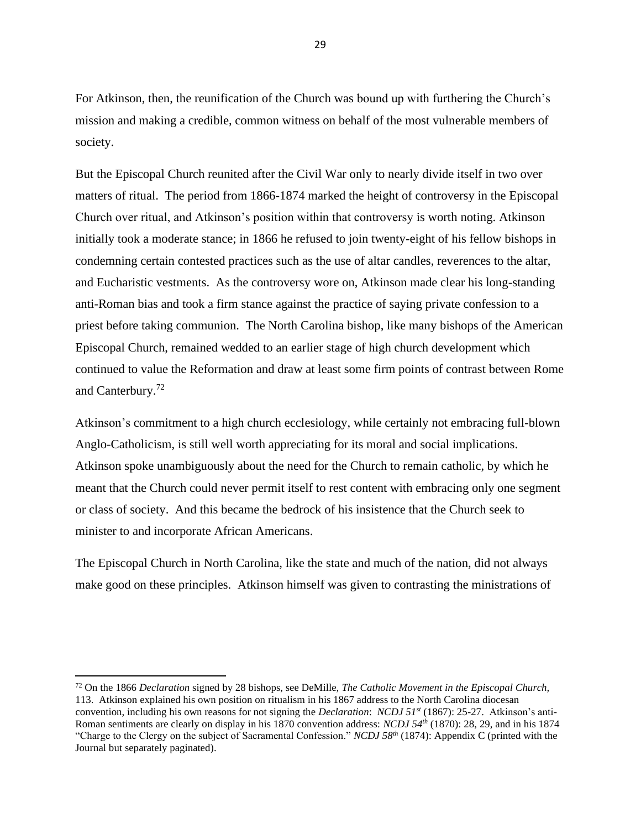For Atkinson, then, the reunification of the Church was bound up with furthering the Church's mission and making a credible, common witness on behalf of the most vulnerable members of society.

But the Episcopal Church reunited after the Civil War only to nearly divide itself in two over matters of ritual. The period from 1866-1874 marked the height of controversy in the Episcopal Church over ritual, and Atkinson's position within that controversy is worth noting. Atkinson initially took a moderate stance; in 1866 he refused to join twenty-eight of his fellow bishops in condemning certain contested practices such as the use of altar candles, reverences to the altar, and Eucharistic vestments. As the controversy wore on, Atkinson made clear his long-standing anti-Roman bias and took a firm stance against the practice of saying private confession to a priest before taking communion. The North Carolina bishop, like many bishops of the American Episcopal Church, remained wedded to an earlier stage of high church development which continued to value the Reformation and draw at least some firm points of contrast between Rome and Canterbury.<sup>72</sup>

Atkinson's commitment to a high church ecclesiology, while certainly not embracing full-blown Anglo-Catholicism, is still well worth appreciating for its moral and social implications. Atkinson spoke unambiguously about the need for the Church to remain catholic, by which he meant that the Church could never permit itself to rest content with embracing only one segment or class of society. And this became the bedrock of his insistence that the Church seek to minister to and incorporate African Americans.

The Episcopal Church in North Carolina, like the state and much of the nation, did not always make good on these principles. Atkinson himself was given to contrasting the ministrations of

<sup>72</sup> On the 1866 *Declaration* signed by 28 bishops, see DeMille, *The Catholic Movement in the Episcopal Church,*  113. Atkinson explained his own position on ritualism in his 1867 address to the North Carolina diocesan convention, including his own reasons for not signing the *Declaration*: *NCDJ 51st* (1867): 25-27. Atkinson's anti-Roman sentiments are clearly on display in his 1870 convention address: *NCDJ 54th* (1870): 28, 29, and in his 1874 "Charge to the Clergy on the subject of Sacramental Confession." *NCDJ 58th* (1874): Appendix C (printed with the Journal but separately paginated).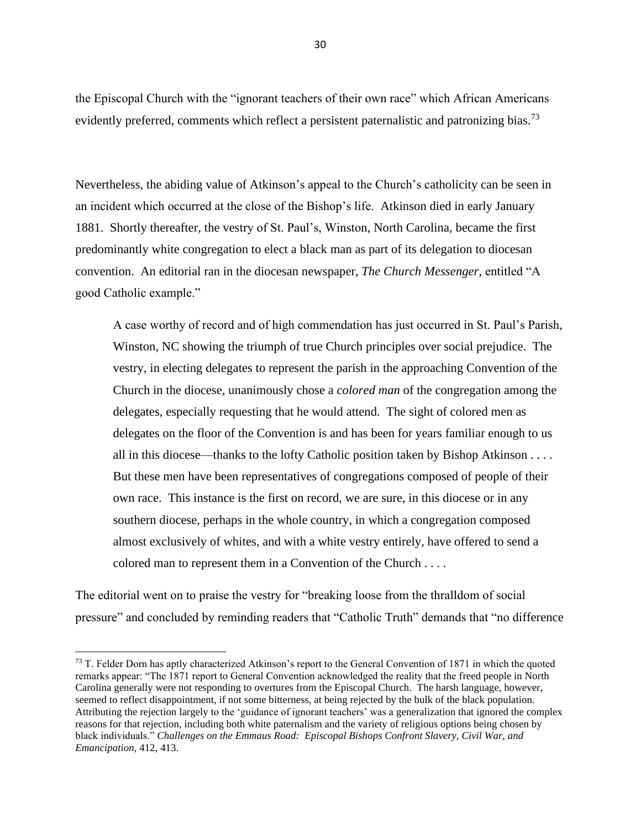the Episcopal Church with the "ignorant teachers of their own race" which African Americans evidently preferred, comments which reflect a persistent paternalistic and patronizing bias.<sup>73</sup>

Nevertheless, the abiding value of Atkinson's appeal to the Church's catholicity can be seen in an incident which occurred at the close of the Bishop's life. Atkinson died in early January 1881. Shortly thereafter, the vestry of St. Paul's, Winston, North Carolina, became the first predominantly white congregation to elect a black man as part of its delegation to diocesan convention. An editorial ran in the diocesan newspaper, *The Church Messenger,* entitled "A good Catholic example."

A case worthy of record and of high commendation has just occurred in St. Paul's Parish, Winston, NC showing the triumph of true Church principles over social prejudice. The vestry, in electing delegates to represent the parish in the approaching Convention of the Church in the diocese, unanimously chose a *colored man* of the congregation among the delegates, especially requesting that he would attend. The sight of colored men as delegates on the floor of the Convention is and has been for years familiar enough to us all in this diocese—thanks to the lofty Catholic position taken by Bishop Atkinson . . . . But these men have been representatives of congregations composed of people of their own race. This instance is the first on record, we are sure, in this diocese or in any southern diocese, perhaps in the whole country, in which a congregation composed almost exclusively of whites, and with a white vestry entirely, have offered to send a colored man to represent them in a Convention of the Church . . . .

The editorial went on to praise the vestry for "breaking loose from the thralldom of social pressure" and concluded by reminding readers that "Catholic Truth" demands that "no difference

<sup>&</sup>lt;sup>73</sup> T. Felder Dorn has aptly characterized Atkinson's report to the General Convention of 1871 in which the quoted remarks appear: "The 1871 report to General Convention acknowledged the reality that the freed people in North Carolina generally were not responding to overtures from the Episcopal Church. The harsh language, however, seemed to reflect disappointment, if not some bitterness, at being rejected by the bulk of the black population. Attributing the rejection largely to the 'guidance of ignorant teachers' was a generalization that ignored the complex reasons for that rejection, including both white paternalism and the variety of religious options being chosen by black individuals." *Challenges on the Emmaus Road: Episcopal Bishops Confront Slavery, Civil War, and Emancipation,* 412, 413.